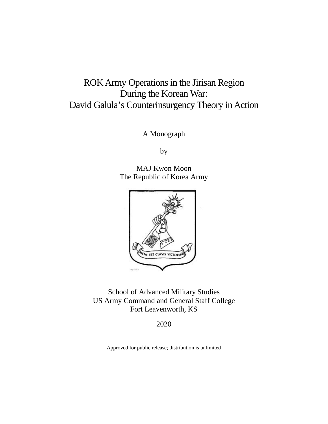# ROK Army Operations in the Jirisan Region During the Korean War: David Galula's Counterinsurgency Theory in Action

A Monograph

by

MAJ Kwon Moon The Republic of Korea Army



School of Advanced Military Studies US Army Command and General Staff College Fort Leavenworth, KS

2020

Approved for public release; distribution is unlimited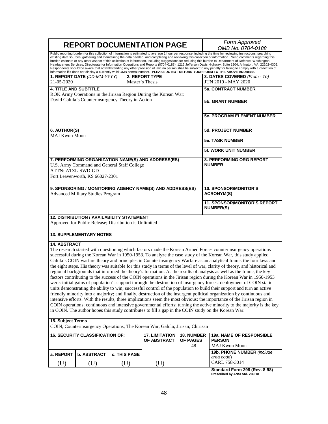|                                                                                                                                                                                                                                                                                                                                                                                                                                                                                                                                                                                                                                                                                                                                                                                                                                                                                                                                                                                                                                                                                                                                                                                                                                                                                                                                                                                                                                                                         |                                                                                                            |                     | <b>REPORT DOCUMENTATION PAGE</b>                                              |                                            | Form Approved<br>OMB No. 0704-0188                                                                                                                                                                                                                                                                                                                                                                                                                                                                                                                                                                                                                                                                                                                                                                                                                                                                                                                                |  |
|-------------------------------------------------------------------------------------------------------------------------------------------------------------------------------------------------------------------------------------------------------------------------------------------------------------------------------------------------------------------------------------------------------------------------------------------------------------------------------------------------------------------------------------------------------------------------------------------------------------------------------------------------------------------------------------------------------------------------------------------------------------------------------------------------------------------------------------------------------------------------------------------------------------------------------------------------------------------------------------------------------------------------------------------------------------------------------------------------------------------------------------------------------------------------------------------------------------------------------------------------------------------------------------------------------------------------------------------------------------------------------------------------------------------------------------------------------------------------|------------------------------------------------------------------------------------------------------------|---------------------|-------------------------------------------------------------------------------|--------------------------------------------|-------------------------------------------------------------------------------------------------------------------------------------------------------------------------------------------------------------------------------------------------------------------------------------------------------------------------------------------------------------------------------------------------------------------------------------------------------------------------------------------------------------------------------------------------------------------------------------------------------------------------------------------------------------------------------------------------------------------------------------------------------------------------------------------------------------------------------------------------------------------------------------------------------------------------------------------------------------------|--|
|                                                                                                                                                                                                                                                                                                                                                                                                                                                                                                                                                                                                                                                                                                                                                                                                                                                                                                                                                                                                                                                                                                                                                                                                                                                                                                                                                                                                                                                                         |                                                                                                            |                     |                                                                               |                                            | Public reporting burden for this collection of information is estimated to average 1 hour per response, including the time for reviewing instructions, searching<br>existing data sources, gathering and maintaining the data needed, and completing and reviewing this collection of information. Send comments regarding this<br>burden estimate or any other aspect of this collection of information, including suggestions for reducing this burden to Department of Defense, Washington<br>Headquarters Services, Directorate for Information Operations and Reports (0704-0188), 1215 Jefferson Davis Highway, Suite 1204, Arlington, VA 22202-4302.<br>Respondents should be aware that notwithstanding any other provision of law, no person shall be subject to any penalty for failing to comply with a collection of<br>information if it does not display a currently valid OMB control number. PLEASE DO NOT RETURN YOUR FORM TO THE ABOVE ADDRESS. |  |
|                                                                                                                                                                                                                                                                                                                                                                                                                                                                                                                                                                                                                                                                                                                                                                                                                                                                                                                                                                                                                                                                                                                                                                                                                                                                                                                                                                                                                                                                         | 1. REPORT DATE (DD-MM-YYYY)                                                                                |                     | <b>2. REPORT TYPE</b>                                                         |                                            | 3. DATES COVERED (From - To)                                                                                                                                                                                                                                                                                                                                                                                                                                                                                                                                                                                                                                                                                                                                                                                                                                                                                                                                      |  |
| 21-05-2020                                                                                                                                                                                                                                                                                                                                                                                                                                                                                                                                                                                                                                                                                                                                                                                                                                                                                                                                                                                                                                                                                                                                                                                                                                                                                                                                                                                                                                                              |                                                                                                            |                     | Master's Thesis                                                               |                                            | JUN 2019 - MAY 2020                                                                                                                                                                                                                                                                                                                                                                                                                                                                                                                                                                                                                                                                                                                                                                                                                                                                                                                                               |  |
| <b>4. TITLE AND SUBTITLE</b>                                                                                                                                                                                                                                                                                                                                                                                                                                                                                                                                                                                                                                                                                                                                                                                                                                                                                                                                                                                                                                                                                                                                                                                                                                                                                                                                                                                                                                            |                                                                                                            |                     |                                                                               |                                            | <b>5a. CONTRACT NUMBER</b>                                                                                                                                                                                                                                                                                                                                                                                                                                                                                                                                                                                                                                                                                                                                                                                                                                                                                                                                        |  |
| ROK Army Operations in the Jirisan Region During the Korean War:<br>David Galula's Counterinsurgency Theory in Action                                                                                                                                                                                                                                                                                                                                                                                                                                                                                                                                                                                                                                                                                                                                                                                                                                                                                                                                                                                                                                                                                                                                                                                                                                                                                                                                                   |                                                                                                            |                     |                                                                               |                                            | <b>5b. GRANT NUMBER</b>                                                                                                                                                                                                                                                                                                                                                                                                                                                                                                                                                                                                                                                                                                                                                                                                                                                                                                                                           |  |
|                                                                                                                                                                                                                                                                                                                                                                                                                                                                                                                                                                                                                                                                                                                                                                                                                                                                                                                                                                                                                                                                                                                                                                                                                                                                                                                                                                                                                                                                         |                                                                                                            |                     |                                                                               |                                            | <b>5c. PROGRAM ELEMENT NUMBER</b>                                                                                                                                                                                                                                                                                                                                                                                                                                                                                                                                                                                                                                                                                                                                                                                                                                                                                                                                 |  |
| 6. AUTHOR(S)<br><b>MAJ Kwon Moon</b>                                                                                                                                                                                                                                                                                                                                                                                                                                                                                                                                                                                                                                                                                                                                                                                                                                                                                                                                                                                                                                                                                                                                                                                                                                                                                                                                                                                                                                    |                                                                                                            |                     |                                                                               |                                            | <b>5d. PROJECT NUMBER</b>                                                                                                                                                                                                                                                                                                                                                                                                                                                                                                                                                                                                                                                                                                                                                                                                                                                                                                                                         |  |
|                                                                                                                                                                                                                                                                                                                                                                                                                                                                                                                                                                                                                                                                                                                                                                                                                                                                                                                                                                                                                                                                                                                                                                                                                                                                                                                                                                                                                                                                         |                                                                                                            |                     |                                                                               |                                            | <b>5e. TASK NUMBER</b>                                                                                                                                                                                                                                                                                                                                                                                                                                                                                                                                                                                                                                                                                                                                                                                                                                                                                                                                            |  |
|                                                                                                                                                                                                                                                                                                                                                                                                                                                                                                                                                                                                                                                                                                                                                                                                                                                                                                                                                                                                                                                                                                                                                                                                                                                                                                                                                                                                                                                                         |                                                                                                            |                     |                                                                               |                                            | 5f. WORK UNIT NUMBER                                                                                                                                                                                                                                                                                                                                                                                                                                                                                                                                                                                                                                                                                                                                                                                                                                                                                                                                              |  |
| 7. PERFORMING ORGANIZATION NAME(S) AND ADDRESS(ES)<br>U.S. Army Command and General Staff College<br><b>ATTN: ATZL-SWD-GD</b>                                                                                                                                                                                                                                                                                                                                                                                                                                                                                                                                                                                                                                                                                                                                                                                                                                                                                                                                                                                                                                                                                                                                                                                                                                                                                                                                           |                                                                                                            |                     |                                                                               |                                            | <b>8. PERFORMING ORG REPORT</b><br><b>NUMBER</b>                                                                                                                                                                                                                                                                                                                                                                                                                                                                                                                                                                                                                                                                                                                                                                                                                                                                                                                  |  |
|                                                                                                                                                                                                                                                                                                                                                                                                                                                                                                                                                                                                                                                                                                                                                                                                                                                                                                                                                                                                                                                                                                                                                                                                                                                                                                                                                                                                                                                                         | Fort Leavenworth, KS 66027-2301                                                                            |                     |                                                                               |                                            |                                                                                                                                                                                                                                                                                                                                                                                                                                                                                                                                                                                                                                                                                                                                                                                                                                                                                                                                                                   |  |
| 9. SPONSORING / MONITORING AGENCY NAME(S) AND ADDRESS(ES)<br><b>Advanced Military Studies Program</b>                                                                                                                                                                                                                                                                                                                                                                                                                                                                                                                                                                                                                                                                                                                                                                                                                                                                                                                                                                                                                                                                                                                                                                                                                                                                                                                                                                   |                                                                                                            |                     |                                                                               |                                            | <b>10. SPONSOR/MONITOR'S</b><br><b>ACRONYM(S)</b>                                                                                                                                                                                                                                                                                                                                                                                                                                                                                                                                                                                                                                                                                                                                                                                                                                                                                                                 |  |
|                                                                                                                                                                                                                                                                                                                                                                                                                                                                                                                                                                                                                                                                                                                                                                                                                                                                                                                                                                                                                                                                                                                                                                                                                                                                                                                                                                                                                                                                         |                                                                                                            |                     |                                                                               |                                            | <b>11. SPONSOR/MONITOR'S REPORT</b><br><b>NUMBER(S)</b>                                                                                                                                                                                                                                                                                                                                                                                                                                                                                                                                                                                                                                                                                                                                                                                                                                                                                                           |  |
|                                                                                                                                                                                                                                                                                                                                                                                                                                                                                                                                                                                                                                                                                                                                                                                                                                                                                                                                                                                                                                                                                                                                                                                                                                                                                                                                                                                                                                                                         | <b>12. DISTRIBUTION / AVAILABILITY STATEMENT</b><br>Approved for Public Release; Distribution is Unlimited |                     |                                                                               |                                            |                                                                                                                                                                                                                                                                                                                                                                                                                                                                                                                                                                                                                                                                                                                                                                                                                                                                                                                                                                   |  |
|                                                                                                                                                                                                                                                                                                                                                                                                                                                                                                                                                                                                                                                                                                                                                                                                                                                                                                                                                                                                                                                                                                                                                                                                                                                                                                                                                                                                                                                                         | <b>13. SUPPLEMENTARY NOTES</b>                                                                             |                     |                                                                               |                                            |                                                                                                                                                                                                                                                                                                                                                                                                                                                                                                                                                                                                                                                                                                                                                                                                                                                                                                                                                                   |  |
| <b>14. ABSTRACT</b>                                                                                                                                                                                                                                                                                                                                                                                                                                                                                                                                                                                                                                                                                                                                                                                                                                                                                                                                                                                                                                                                                                                                                                                                                                                                                                                                                                                                                                                     |                                                                                                            |                     |                                                                               |                                            |                                                                                                                                                                                                                                                                                                                                                                                                                                                                                                                                                                                                                                                                                                                                                                                                                                                                                                                                                                   |  |
| The research started with questioning which factors made the Korean Armed Forces counterinsurgency operations<br>successful during the Korean War in 1950-1953. To analyze the case study of the Korean War, this study applied<br>Galula's COIN warfare theory and principles in Counterinsurgency Warfare as an analytical frame: the four laws and<br>the eight steps. His theory was suitable for this study in terms of the level of war, clarity of theory, and historical and<br>regional backgrounds that informed the theory's formation. As the results of analysis as well as the frame, the key<br>factors contributing to the success of the COIN operations in the Jirisan region during the Korean War in 1950-1953<br>were: initial gains of population's support through the destruction of insurgency forces; deployment of COIN static<br>units demonstrating the ability to win; successful control of the population to build their support and turn an active<br>friendly minority into a majority; and finally, destruction of the insurgent political organization by continuous and<br>intensive efforts. With the results, three implications seem the most obvious: the importance of the Jirisan region in<br>COIN operations; continuous and intensive governmental efforts; turning the active minority to the majority is the key<br>in COIN. The author hopes this study contributes to fill a gap in the COIN study on the Korean War. |                                                                                                            |                     |                                                                               |                                            |                                                                                                                                                                                                                                                                                                                                                                                                                                                                                                                                                                                                                                                                                                                                                                                                                                                                                                                                                                   |  |
| 15. Subject Terms                                                                                                                                                                                                                                                                                                                                                                                                                                                                                                                                                                                                                                                                                                                                                                                                                                                                                                                                                                                                                                                                                                                                                                                                                                                                                                                                                                                                                                                       |                                                                                                            |                     |                                                                               |                                            |                                                                                                                                                                                                                                                                                                                                                                                                                                                                                                                                                                                                                                                                                                                                                                                                                                                                                                                                                                   |  |
|                                                                                                                                                                                                                                                                                                                                                                                                                                                                                                                                                                                                                                                                                                                                                                                                                                                                                                                                                                                                                                                                                                                                                                                                                                                                                                                                                                                                                                                                         |                                                                                                            |                     | COIN; Counterinsurgency Operations; The Korean War; Galula; Jirisan; Chirisan |                                            |                                                                                                                                                                                                                                                                                                                                                                                                                                                                                                                                                                                                                                                                                                                                                                                                                                                                                                                                                                   |  |
| <b>16. SECURITY CLASSIFICATION OF:</b>                                                                                                                                                                                                                                                                                                                                                                                                                                                                                                                                                                                                                                                                                                                                                                                                                                                                                                                                                                                                                                                                                                                                                                                                                                                                                                                                                                                                                                  |                                                                                                            |                     | <b>17. LIMITATION</b><br>OF ABSTRACT                                          | <b>18. NUMBER</b><br><b>OF PAGES</b><br>48 | 19a. NAME OF RESPONSIBLE<br><b>PERSON</b><br><b>MAJ Kwon Moon</b>                                                                                                                                                                                                                                                                                                                                                                                                                                                                                                                                                                                                                                                                                                                                                                                                                                                                                                 |  |
| a. REPORT                                                                                                                                                                                                                                                                                                                                                                                                                                                                                                                                                                                                                                                                                                                                                                                                                                                                                                                                                                                                                                                                                                                                                                                                                                                                                                                                                                                                                                                               | <b>b. ABSTRACT</b>                                                                                         | <b>c. THIS PAGE</b> |                                                                               |                                            | 19b. PHONE NUMBER (include                                                                                                                                                                                                                                                                                                                                                                                                                                                                                                                                                                                                                                                                                                                                                                                                                                                                                                                                        |  |
| $(\mathrm{U})$                                                                                                                                                                                                                                                                                                                                                                                                                                                                                                                                                                                                                                                                                                                                                                                                                                                                                                                                                                                                                                                                                                                                                                                                                                                                                                                                                                                                                                                          | (U)                                                                                                        | (U)                 | (U)                                                                           |                                            | area code)<br>CARL 758-3014                                                                                                                                                                                                                                                                                                                                                                                                                                                                                                                                                                                                                                                                                                                                                                                                                                                                                                                                       |  |

**Standard Form 298 (Rev. 8-98) Prescribed by ANSI Std. Z39.18**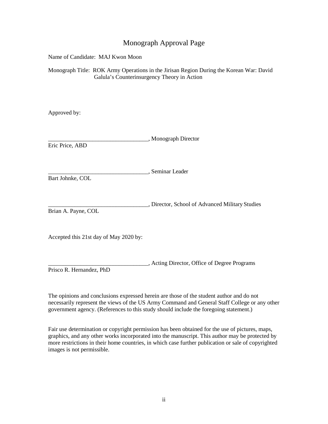## Monograph Approval Page

Name of Candidate: MAJ Kwon Moon

Monograph Title: ROK Army Operations in the Jirisan Region During the Korean War: David Galula's Counterinsurgency Theory in Action

Approved by:

\_\_\_\_\_\_\_\_\_\_\_\_\_\_\_\_\_\_\_\_\_\_\_\_\_\_\_\_\_\_\_\_\_\_, Monograph Director Eric Price, ABD \_\_\_\_\_\_\_\_\_\_\_\_\_\_\_\_\_\_\_\_\_\_\_\_\_\_\_\_\_\_\_\_\_\_, Seminar Leader Bart Johnke, COL \_\_\_\_\_\_\_\_\_\_\_\_\_\_\_\_\_\_\_\_\_\_\_\_\_\_\_\_\_\_\_\_\_\_, Director, School of Advanced Military Studies Brian A. Payne, COL Accepted this 21st day of May 2020 by:

Prisco R. Hernandez, PhD

The opinions and conclusions expressed herein are those of the student author and do not necessarily represent the views of the US Army Command and General Staff College or any other government agency. (References to this study should include the foregoing statement.)

\_\_\_\_\_\_\_\_\_\_\_\_\_\_\_\_\_\_\_\_\_\_\_\_\_\_\_\_\_\_\_\_\_\_, Acting Director, Office of Degree Programs

Fair use determination or copyright permission has been obtained for the use of pictures, maps, graphics, and any other works incorporated into the manuscript. This author may be protected by more restrictions in their home countries, in which case further publication or sale of copyrighted images is not permissible.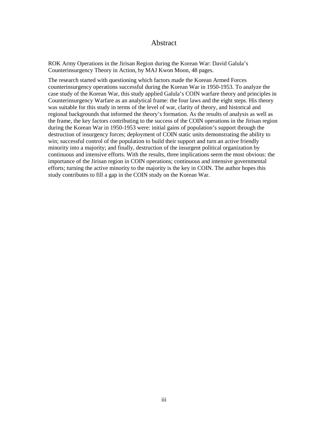#### Abstract

ROK Army Operations in the Jirisan Region during the Korean War: David Galula's Counterinsurgency Theory in Action, by MAJ Kwon Moon, 48 pages.

The research started with questioning which factors made the Korean Armed Forces counterinsurgency operations successful during the Korean War in 1950-1953. To analyze the case study of the Korean War, this study applied Galula's COIN warfare theory and principles in Counterinsurgency Warfare as an analytical frame: the four laws and the eight steps. His theory was suitable for this study in terms of the level of war, clarity of theory, and historical and regional backgrounds that informed the theory's formation. As the results of analysis as well as the frame, the key factors contributing to the success of the COIN operations in the Jirisan region during the Korean War in 1950-1953 were: initial gains of population's support through the destruction of insurgency forces; deployment of COIN static units demonstrating the ability to win; successful control of the population to build their support and turn an active friendly minority into a majority; and finally, destruction of the insurgent political organization by continuous and intensive efforts. With the results, three implications seem the most obvious: the importance of the Jirisan region in COIN operations; continuous and intensive governmental efforts; turning the active minority to the majority is the key in COIN. The author hopes this study contributes to fill a gap in the COIN study on the Korean War.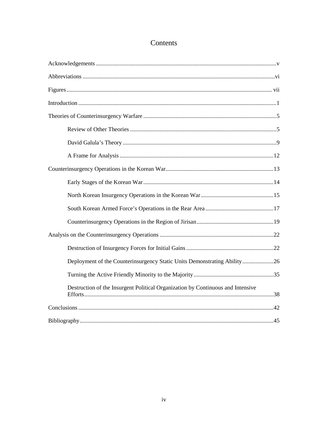## Contents

| Deployment of the Counterinsurgency Static Units Demonstrating Ability26        |
|---------------------------------------------------------------------------------|
|                                                                                 |
| Destruction of the Insurgent Political Organization by Continuous and Intensive |
|                                                                                 |
|                                                                                 |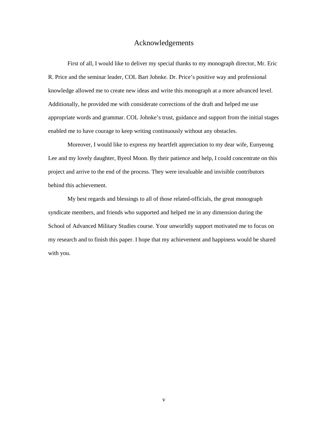#### Acknowledgements

<span id="page-5-0"></span>First of all, I would like to deliver my special thanks to my monograph director, Mr. Eric R. Price and the seminar leader, COL Bart Johnke. Dr. Price's positive way and professional knowledge allowed me to create new ideas and write this monograph at a more advanced level. Additionally, he provided me with considerate corrections of the draft and helped me use appropriate words and grammar. COL Johnke's trust, guidance and support from the initial stages enabled me to have courage to keep writing continuously without any obstacles.

Moreover, I would like to express my heartfelt appreciation to my dear wife, Eunyeong Lee and my lovely daughter, Byeol Moon. By their patience and help, I could concentrate on this project and arrive to the end of the process. They were invaluable and invisible contributors behind this achievement.

My best regards and blessings to all of those related-officials, the great monograph syndicate members, and friends who supported and helped me in any dimension during the School of Advanced Military Studies course. Your unworldly support motivated me to focus on my research and to finish this paper. I hope that my achievement and happiness would be shared with you.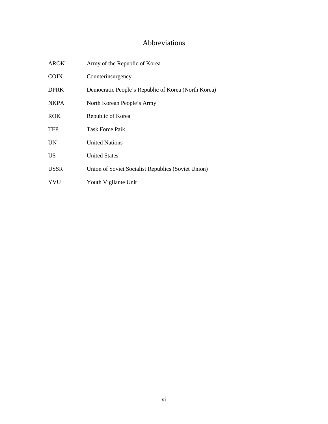## Abbreviations

<span id="page-6-0"></span>

| <b>AROK</b> | Army of the Republic of Korea                       |
|-------------|-----------------------------------------------------|
| <b>COIN</b> | Counterinsurgency                                   |
| <b>DPRK</b> | Democratic People's Republic of Korea (North Korea) |
| <b>NKPA</b> | North Korean People's Army                          |
| <b>ROK</b>  | Republic of Korea                                   |
| <b>TFP</b>  | <b>Task Force Paik</b>                              |
| <b>UN</b>   | <b>United Nations</b>                               |
| US          | <b>United States</b>                                |
| <b>USSR</b> | Union of Soviet Socialist Republics (Soviet Union)  |
| YVU         | Youth Vigilante Unit                                |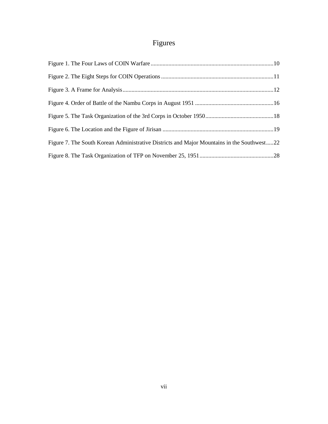# Figures

<span id="page-7-0"></span>

| Figure 7. The South Korean Administrative Districts and Major Mountains in the Southwest22 |  |
|--------------------------------------------------------------------------------------------|--|
|                                                                                            |  |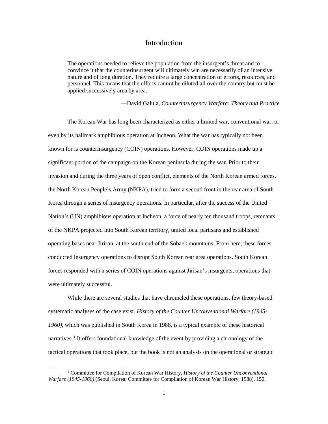#### Introduction

<span id="page-8-0"></span>The operations needed to relieve the population from the insurgent's threat and to convince it that the counterinsurgent will ultimately win are necessarily of an intensive nature and of long duration. They require a large concentration of efforts, resources, and personnel. This means that the efforts cannot be diluted all over the country but must be applied successively area by area.

—David Galula, *Counterinsurgency Warfare: Theory and Practice*

The Korean War has long been characterized as either a limited war, conventional war, or even by its hallmark amphibious operation at Incheon. What the war has typically not been known for is counterinsurgency (COIN) operations. However, COIN operations made up a significant portion of the campaign on the Korean peninsula during the war. Prior to their invasion and during the three years of open conflict, elements of the North Korean armed forces, the North Korean People's Army (NKPA), tried to form a second front in the rear area of South Korea through a series of insurgency operations. In particular, after the success of the United Nation's (UN) amphibious operation at Incheon, a force of nearly ten thousand troops, remnants of the NKPA projected into South Korean territory, united local partisans and established operating bases near Jirisan, at the south end of the Sobaek mountains. From here, these forces conducted insurgency operations to disrupt South Korean rear area operations. South Korean forces responded with a series of COIN operations against Jirisan's insurgents, operations that were ultimately successful.

While there are several studies that have chronicled these operations, few theory-based systematic analyses of the case exist. *History of the Counter Unconventional Warfare (1945- 1960),* which was published in South Korea in 1988, is a typical example of these historical narratives.<sup>1</sup> It offers foundational knowledge of the event by providing a chronology of the tactical operations that took place, but the book is not an analysis on the operational or strategic

 <sup>1</sup> Committee for Compilation of Korean War History, *History of the Counter Unconventional Warfare (1945-1960)* (Seoul, Korea: Committee for Compilation of Korean War History, 1988), 150.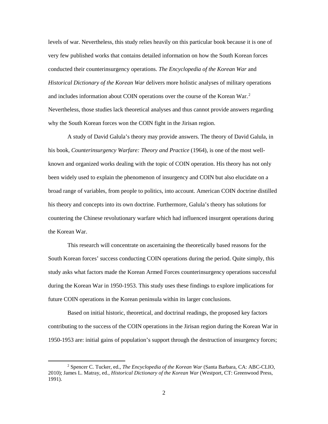levels of war. Nevertheless, this study relies heavily on this particular book because it is one of very few published works that contains detailed information on how the South Korean forces conducted their counterinsurgency operations. *The Encyclopedia of the Korean War* and *Historical Dictionary of the Korean War* delivers more holistic analyses of military operations and includes information about COIN operations over the course of the Korean War. $2$ Nevertheless, those studies lack theoretical analyses and thus cannot provide answers regarding why the South Korean forces won the COIN fight in the Jirisan region.

A study of David Galula's theory may provide answers. The theory of David Galula, in his book, *Counterinsurgency Warfare: Theory and Practice* (1964), is one of the most wellknown and organized works dealing with the topic of COIN operation. His theory has not only been widely used to explain the phenomenon of insurgency and COIN but also elucidate on a broad range of variables, from people to politics, into account. American COIN doctrine distilled his theory and concepts into its own doctrine. Furthermore, Galula's theory has solutions for countering the Chinese revolutionary warfare which had influenced insurgent operations during the Korean War.

This research will concentrate on ascertaining the theoretically based reasons for the South Korean forces' success conducting COIN operations during the period. Quite simply, this study asks what factors made the Korean Armed Forces counterinsurgency operations successful during the Korean War in 1950-1953. This study uses these findings to explore implications for future COIN operations in the Korean peninsula within its larger conclusions.

Based on initial historic, theoretical, and doctrinal readings, the proposed key factors contributing to the success of the COIN operations in the Jirisan region during the Korean War in 1950-1953 are: initial gains of population's support through the destruction of insurgency forces;

 <sup>2</sup> Spencer C. Tucker, ed., *The Encyclopedia of the Korean War* (Santa Barbara, CA: ABC-CLIO, 2010); James L. Matray, ed., *Historical Dictionary of the Korean War* (Westport, CT: Greenwood Press, 1991).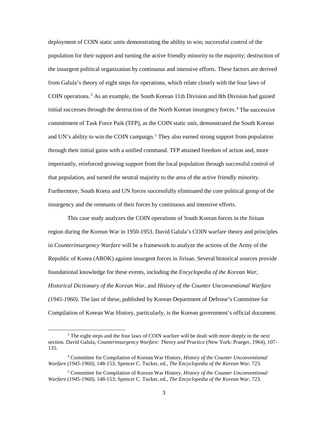deployment of COIN static units demonstrating the ability to win; successful control of the population for their support and turning the active friendly minority to the majority; destruction of the insurgent political organization by continuous and intensive efforts. These factors are derived from Galula's theory of eight steps for operations, which relate closely with the four laws of COIN operations.<sup>3</sup> As an example, the South Korean 11th Division and 8th Division had gained initial successes through the destruction of the North Korean insurgency forces.<sup>4</sup> The successive commitment of Task Force Paik (TFP), as the COIN static unit, demonstrated the South Korean and UN's ability to win the COIN campaign.<sup>5</sup> They also earned strong support from population through their initial gains with a unified command. TFP attained freedom of action and, more importantly, reinforced growing support from the local population through successful control of that population, and turned the neutral majority to the area of the active friendly minority. Furthermore, South Korea and UN forces successfully eliminated the core political group of the insurgency and the remnants of their forces by continuous and intensive efforts.

This case study analyzes the COIN operations of South Korean forces in the Jirisan region during the Korean War in 1950-1953. David Galula's COIN warfare theory and principles in *Counterinsurgency Warfare* will be a framework to analyze the actions of the Army of the Republic of Korea (AROK) against insurgent forces in Jirisan. Several historical sources provide foundational knowledge for these events, including the *Encyclopedia of the Korean War*, *Historical Dictionary of the Korean War,* and *History of the Counter Unconventional Warfare (1945-1960)*. The last of these, published by Korean Department of Defense's Committee for Compilation of Korean War History, particularly, is the Korean government's official document.

<sup>&</sup>lt;sup>3</sup> The eight steps and the four laws of COIN warfare will be dealt with more deeply in the next section. David Galula, *Counterinsurgency Warfare: Theory and Practice* (New York: Praeger, 1964), 107- 135.

<sup>4</sup> Committee for Compilation of Korean War History, *History of the Counter Unconventional Warfare (1945-1960),* 148-153; Spencer C. Tucker, ed., *The Encyclopedia of the Korean War,* 723.

<sup>5</sup> Committee for Compilation of Korean War History, *History of the Counter Unconventional Warfare (1945-1960),* 148-153; Spencer C. Tucker, ed., *The Encyclopedia of the Korean War,* 723.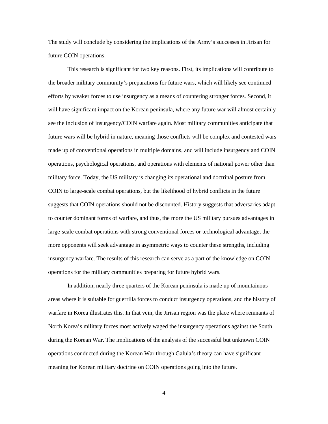The study will conclude by considering the implications of the Army's successes in Jirisan for future COIN operations.

This research is significant for two key reasons. First, its implications will contribute to the broader military community's preparations for future wars, which will likely see continued efforts by weaker forces to use insurgency as a means of countering stronger forces. Second, it will have significant impact on the Korean peninsula, where any future war will almost certainly see the inclusion of insurgency/COIN warfare again. Most military communities anticipate that future wars will be hybrid in nature, meaning those conflicts will be complex and contested wars made up of conventional operations in multiple domains, and will include insurgency and COIN operations, psychological operations, and operations with elements of national power other than military force. Today, the US military is changing its operational and doctrinal posture from COIN to large-scale combat operations, but the likelihood of hybrid conflicts in the future suggests that COIN operations should not be discounted. History suggests that adversaries adapt to counter dominant forms of warfare, and thus, the more the US military pursues advantages in large-scale combat operations with strong conventional forces or technological advantage, the more opponents will seek advantage in asymmetric ways to counter these strengths, including insurgency warfare. The results of this research can serve as a part of the knowledge on COIN operations for the military communities preparing for future hybrid wars.

In addition, nearly three quarters of the Korean peninsula is made up of mountainous areas where it is suitable for guerrilla forces to conduct insurgency operations, and the history of warfare in Korea illustrates this. In that vein, the Jirisan region was the place where remnants of North Korea's military forces most actively waged the insurgency operations against the South during the Korean War. The implications of the analysis of the successful but unknown COIN operations conducted during the Korean War through Galula's theory can have significant meaning for Korean military doctrine on COIN operations going into the future.

4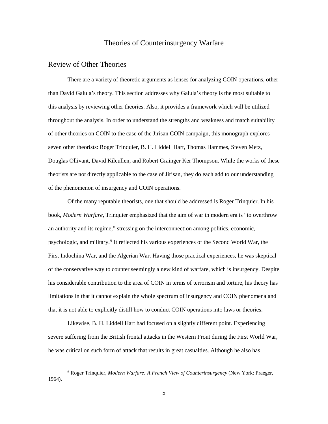## Theories of Counterinsurgency Warfare

#### <span id="page-12-1"></span><span id="page-12-0"></span>Review of Other Theories

There are a variety of theoretic arguments as lenses for analyzing COIN operations, other than David Galula's theory. This section addresses why Galula's theory is the most suitable to this analysis by reviewing other theories. Also, it provides a framework which will be utilized throughout the analysis. In order to understand the strengths and weakness and match suitability of other theories on COIN to the case of the Jirisan COIN campaign, this monograph explores seven other theorists: Roger Trinquier, B. H. Liddell Hart[, Thomas Hammes,](https://en.wikipedia.org/wiki/Thomas_Hammes) [Steven Metz,](https://en.wikipedia.org/wiki/Steven_Metz) [Douglas Ollivant,](https://en.wikipedia.org/wiki/Douglas_Ollivant) [David Kilcullen,](https://en.wikipedia.org/wiki/David_Kilcullen) an[d Robert Grainger Ker Thompson.](https://en.wikipedia.org/wiki/Robert_Grainger_Ker_Thompson) While the works of these theorists are not directly applicable to the case of Jirisan, they do each add to our understanding of the phenomenon of insurgency and COIN operations.

Of the many reputable theorists, one that should be addressed is Roger Trinquier. In his book, *Modern Warfare*, Trinquier emphasized that the aim of war in modern era is "to overthrow an authority and its regime," stressing on the interconnection among politics, economic, psychologic, and military.<sup>6</sup> It reflected his various experiences of the Second World War, the First Indochina War, and the Algerian War. Having those practical experiences, he was skeptical of the conservative way to counter seemingly a new kind of warfare, which is insurgency. Despite his considerable contribution to the area of COIN in terms of terrorism and torture, his theory has limitations in that it cannot explain the whole spectrum of insurgency and COIN phenomena and that it is not able to explicitly distill how to conduct COIN operations into laws or theories.

Likewise, B. H. Liddell Hart had focused on a slightly different point. Experiencing severe suffering from the British frontal attacks in the Western Front during the First World War, he was critical on such form of attack that results in great casualties. Although he also has

 <sup>6</sup> Roger Trinquier, *Modern Warfare: A French View of Counterinsurgency* (New York: Praeger, 1964).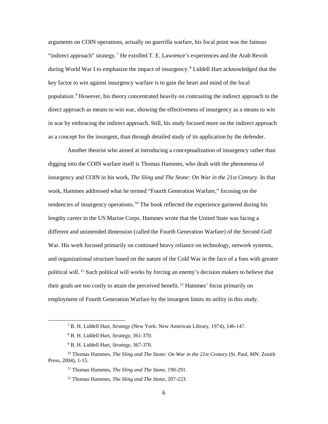arguments on COIN operations, actually on guerrilla warfare, his focal point was the famous "indirect approach" strategy.<sup>7</sup> He extolled T. E. Lawrence's experiences and the Arab Revolt during World War I to emphasize the impact of insurgency.<sup>8</sup> Liddell Hart acknowledged that the key factor to win against insurgency warfare is to gain the heart and mind of the local population.<sup>9</sup> However, his theory concentrated heavily on contrasting the indirect approach to the direct approach as means to win war, showing the effectiveness of insurgency as a means to win in war by embracing the indirect approach. Still, his study focused more on the indirect approach as a concept for the insurgent, than through detailed study of its application by the defender.

Another theorist who aimed at introducing a conceptualization of insurgency rather than digging into the COIN warfare itself is Thomas [Hammes,](https://en.wikipedia.org/wiki/Thomas_Hammes) who dealt with the phenomena of insurgency and COIN in his work, *The Sling and The Stone: On War in the 21st Century.* In that work, Hammes addressed what he termed "Fourth Generation Warfare," focusing on the tendencies of insurgency operations.<sup>10</sup> The book reflected the experience garnered during his lengthy career in the US Marine Corps. Hammes wrote that the United State was facing a different and unintended dimension (called the Fourth Generation Warfare) of the Second Gulf War. His work focused primarily on continued heavy reliance on technology, network systems, and organizational structure based on the nature of the Cold War in the face of a foes with greater political will.<sup>11</sup> Such political will works by forcing an enemy's decision makers to believe that their goals are too costly to attain the perceived benefit.<sup>12</sup> Hammes' focus primarily on employment of Fourth Generation Warfare by the insurgent limits its utility in this study.

 <sup>7</sup> B. H. Liddell Hart, *Strategy* (New York: New American Library, 1974), 146-147.

<sup>8</sup> B. H. Liddell Hart, *Strategy*, 361-370.

<sup>9</sup> B. H. Liddell Hart, *Strategy,* 367-370.

<sup>10</sup> Thomas Hammes, *The Sling and The Stone: On War in the 21st Century* (St. Paul, MN: Zenith Press, 2004), 1-15.

<sup>11</sup> Thomas Hammes, *The Sling and The Stone*, 190-291.

<sup>12</sup> Thomas Hammes, *The Sling and The Stone*, 207-223.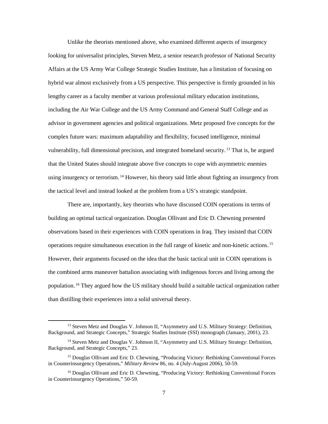Unlike the theorists mentioned above, who examined different aspects of insurgency looking for universalist principles, Steven Metz, a senior research professor of National Security Affairs at the US Army War College Strategic Studies Institute, has a limitation of focusing on hybrid war almost exclusively from a US perspective. This perspective is firmly grounded in his lengthy career as a faculty member at various professional military education institutions, including the Air War College and the US Army Command and General Staff College and as advisor in government agencies and political organizations. Metz proposed five concepts for the complex future wars: maximum adaptability and flexibility, focused intelligence, minimal vulnerability, full dimensional precision, and integrated homeland security.<sup>13</sup> That is, he argued that the United States should integrate above five concepts to cope with asymmetric enemies using insurgency or terrorism. <sup>14</sup> However, his theory said little about fighting an insurgency from the tactical level and instead looked at the problem from a US's strategic standpoint.

There are, importantly, key theorists who have discussed COIN operations in terms of building an optimal tactical organization. Douglas Ollivant and Eric D. Chewning presented observations based in their experiences with COIN operations in Iraq. They insisted that COIN operations require simultaneous execution in the full range of kinetic and non-kinetic actions.<sup>15</sup> However, their arguments focused on the idea that the basic tactical unit in COIN operations is the combined arms maneuver battalion associating with indigenous forces and living among the population.<sup>16</sup> They argued how the US military should build a suitable tactical organization rather than distilling their experiences into a solid universal theory.

<sup>&</sup>lt;sup>13</sup> Steven Metz and Douglas V. Johnson II, "Asymmetry and U.S. Military Strategy: Definition, Background, and Strategic Concepts," Strategic Studies Institute (SSI) monograph (January, 2001), 23.

<sup>&</sup>lt;sup>14</sup> Steven Metz and Douglas V. Johnson II, "Asymmetry and U.S. Military Strategy: Definition, Background, and Strategic Concepts," 23.

<sup>&</sup>lt;sup>15</sup> Douglas Ollivant and Eric D. Chewning, "Producing Victory: Rethinking Conventional Forces in Counterinsurgency Operations," *Military Review* 86, no. 4 (July-August 2006), 50-59.

<sup>16</sup> Douglas Ollivant and Eric D. Chewning, "Producing Victory: Rethinking Conventional Forces in Counterinsurgency Operations," 50-59.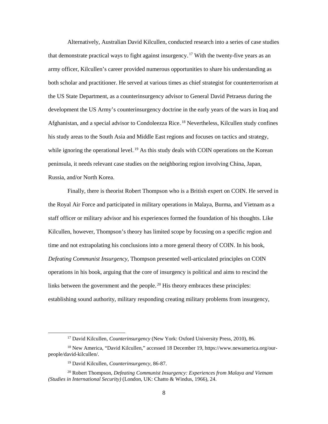Alternatively, Australian [David Kilcullen,](https://en.wikipedia.org/wiki/David_Kilcullen) conducted research into a series of case studies that demonstrate practical ways to fight against insurgency.<sup>17</sup> With the twenty-five years as an army officer, Kilcullen's career provided numerous opportunities to share his understanding as both scholar and practitioner. He served at various times as chief strategist for counterterrorism at the US State Department, as a counterinsurgency advisor to General David Petraeus during the development the US Army's counterinsurgency doctrine in the early years of the wars in Iraq and Afghanistan, and a special advisor to Condoleezza Rice.<sup>18</sup> Nevertheless, Kilcullen study confines his study areas to the South Asia and Middle East regions and focuses on tactics and strategy, while ignoring the operational level.<sup>19</sup> As this study deals with COIN operations on the Korean peninsula, it needs relevant case studies on the neighboring region involving China, Japan, Russia, and/or North Korea.

Finally, there is theorist [Robert Thompson](https://en.wikipedia.org/wiki/Robert_Grainger_Ker_Thompson) who is a British expert on COIN. He served in the Royal Air Force and participated in military operations in Malaya, Burma, and Vietnam as a staff officer or military advisor and his experiences formed the foundation of his thoughts. Like Kilcullen, however, Thompson's theory has limited scope by focusing on a specific region and time and not extrapolating his conclusions into a more general theory of COIN. In his book, *Defeating Communist Insurgency*, Thompson presented well-articulated principles on COIN operations in his book, arguing that the core of insurgency is political and aims to rescind the links between the government and the people. $20$  His theory embraces these principles: establishing sound authority, military responding creating military problems from insurgency,

 <sup>17</sup> [David Kilcullen,](https://en.wikipedia.org/wiki/David_Kilcullen) *Counterinsurgency* (New York: Oxford University Press, 2010), 86.

<sup>18</sup> New America, "David Kilcullen," accessed 18 December 19, https://www.newamerica.org/ourpeople/david-kilcullen/.

<sup>19</sup> [David Kilcullen,](https://en.wikipedia.org/wiki/David_Kilcullen) *Counterinsurgency*, 86-87.

<sup>20</sup> Robert Thompson, *Defeating Communist Insurgency: Experiences from Malaya and Vietnam (Studies in International Security)* (London, UK: Chatto & Windus, 1966)*,* 24.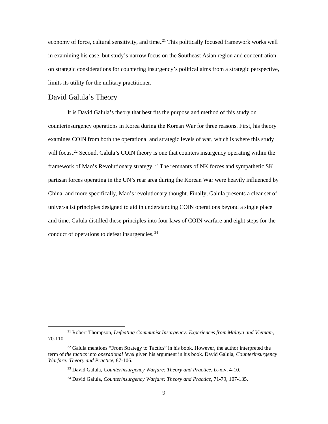economy of force, cultural sensitivity, and time.<sup>21</sup> This politically focused framework works well in examining his case, but study's narrow focus on the Southeast Asian region and concentration on strategic considerations for countering insurgency's political aims from a strategic perspective, limits its utility for the military practitioner.

#### <span id="page-16-0"></span>David Galula's Theory

It is David Galula's theory that best fits the purpose and method of this study on counterinsurgency operations in Korea during the Korean War for three reasons. First, his theory examines COIN from both the operational and strategic levels of war, which is where this study will focus.<sup>22</sup> Second, Galula's COIN theory is one that counters insurgency operating within the framework of Mao's Revolutionary strategy.<sup>23</sup> The remnants of NK forces and sympathetic SK partisan forces operating in the UN's rear area during the Korean War were heavily influenced by China, and more specifically, Mao's revolutionary thought. Finally, Galula presents a clear set of universalist principles designed to aid in understanding COIN operations beyond a single place and time. Galula distilled these principles into four laws of COIN warfare and eight steps for the conduct of operations to defeat insurgencies. $24$ 

 <sup>21</sup> Robert Thompson, *Defeating Communist Insurgency: Experiences from Malaya and Vietnam,*  70-110.

 $22$  Galula mentions "From Strategy to Tactics" in his book. However, the author interpreted the term of *the tactics* into *operational level* given his argument in his book. David Galula, *Counterinsurgency Warfare: Theory and Practice*, 87-106.

<sup>23</sup> David Galula, *Counterinsurgency Warfare: Theory and Practice*, ix-xiv, 4-10.

<sup>24</sup> David Galula, *Counterinsurgency Warfare: Theory and Practice*, 71-79, 107-135.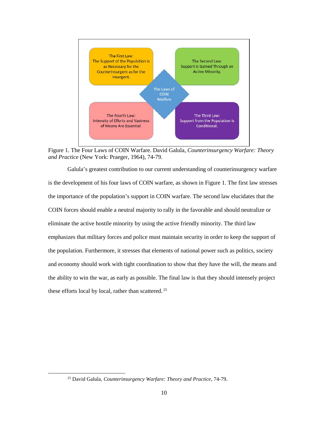

<span id="page-17-0"></span>Figure 1. The Four Laws of COIN Warfare. David Galula, *Counterinsurgency Warfare: Theory and Practice* (New York: Praeger, 1964), 74-79.

Galula's greatest contribution to our current understanding of counterinsurgency warfare is the development of his four laws of COIN warfare, as shown in Figure 1. The first law stresses the importance of the population's support in COIN warfare. The second law elucidates that the COIN forces should enable a neutral majority to rally in the favorable and should neutralize or eliminate the active hostile minority by using the active friendly minority. The third law emphasizes that military forces and police must maintain security in order to keep the support of the population. Furthermore, it stresses that elements of national power such as politics, society and economy should work with tight coordination to show that they have the will, the means and the ability to win the war, as early as possible. The final law is that they should intensely project these efforts local by local, rather than scattered.<sup>25</sup>

 <sup>25</sup> David Galula, *Counterinsurgency Warfare: Theory and Practice*, 74-79.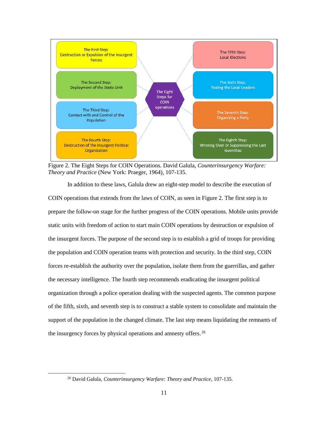

<span id="page-18-0"></span>Figure 2. The Eight Steps for COIN Operations. David Galula, *Counterinsurgency Warfare: Theory and Practice* (New York: Praeger, 1964), 107-135.

In addition to these laws, Galula drew an eight-step model to describe the execution of COIN operations that extends from the laws of COIN, as seen in Figure 2. The first step is to prepare the follow-on stage for the further progress of the COIN operations. Mobile units provide static units with freedom of action to start main COIN operations by destruction or expulsion of the insurgent forces. The purpose of the second step is to establish a grid of troops for providing the population and COIN operation teams with protection and security. In the third step, COIN forces re-establish the authority over the population, isolate them from the guerrillas, and gather the necessary intelligence. The fourth step recommends eradicating the insurgent political organization through a police operation dealing with the suspected agents. The common purpose of the fifth, sixth, and seventh step is to construct a stable system to consolidate and maintain the support of the population in the changed climate. The last step means liquidating the remnants of the insurgency forces by physical operations and amnesty offers.<sup>26</sup>

 <sup>26</sup> David Galula, *Counterinsurgency Warfare: Theory and Practice*, 107-135.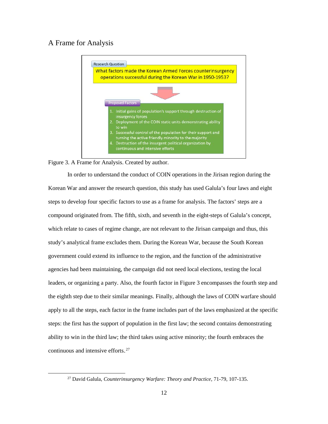#### <span id="page-19-0"></span>A Frame for Analysis



<span id="page-19-1"></span>Figure 3. A Frame for Analysis. Created by author.

In order to understand the conduct of COIN operations in the Jirisan region during the Korean War and answer the research question, this study has used Galula's four laws and eight steps to develop four specific factors to use as a frame for analysis. The factors' steps are a compound originated from. The fifth, sixth, and seventh in the eight-steps of Galula's concept, which relate to cases of regime change, are not relevant to the Jirisan campaign and thus, this study's analytical frame excludes them. During the Korean War, because the South Korean government could extend its influence to the region, and the function of the administrative agencies had been maintaining, the campaign did not need local elections, testing the local leaders, or organizing a party. Also, the fourth factor in Figure 3 encompasses the fourth step and the eighth step due to their similar meanings. Finally, although the laws of COIN warfare should apply to all the steps, each factor in the frame includes part of the laws emphasized at the specific steps: the first has the support of population in the first law; the second contains demonstrating ability to win in the third law; the third takes using active minority; the fourth embraces the continuous and intensive efforts. $27$ 

 <sup>27</sup> David Galula, *Counterinsurgency Warfare: Theory and Practice*, 71-79, 107-135.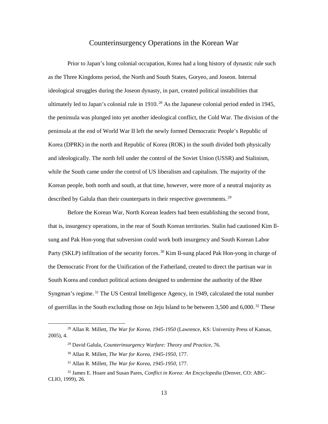#### Counterinsurgency Operations in the Korean War

<span id="page-20-0"></span>Prior to Japan's long colonial occupation, Korea had a long history of dynastic rule such as the Three Kingdoms period, the North and South States, Goryeo, and Joseon. Internal ideological struggles during the Joseon dynasty, in part, created political instabilities that ultimately led to Japan's colonial rule in 1910.<sup>28</sup> As the Japanese colonial period ended in 1945, the peninsula was plunged into yet another ideological conflict, the Cold War. The division of the peninsula at the end of World War II left the newly formed Democratic People's Republic of Korea (DPRK) in the north and Republic of Korea (ROK) in the south divided both physically and ideologically. The north fell under the control of the Soviet Union (USSR) and Stalinism, while the South came under the control of US liberalism and capitalism. The majority of the Korean people, both north and south, at that time, however, were more of a neutral majority as described by Galula than their counterparts in their respective governments.<sup>29</sup>

Before the Korean War, North Korean leaders had been establishing the second front, that is, insurgency operations, in the rear of South Korean territories. Stalin had cautioned Kim Ilsung and Pak Hon-yong that subversion could work both insurgency and South Korean Labor Party (SKLP) infiltration of the security forces.<sup>30</sup> Kim Il-sung placed Pak Hon-yong in charge of the Democratic Front for the Unification of the Fatherland, created to direct the partisan war in South Korea and conduct political actions designed to undermine the authority of the Rhee Syngman's regime.<sup>31</sup> The US Central Intelligence Agency, in 1949, calculated the total number of guerrillas in the South excluding those on Jeju Island to be between 3,500 and 6,000.<sup>32</sup> These

 <sup>28</sup> Allan R. Millett, *The War for Korea, 1945-1950* (Lawrence, KS: University Press of Kansas, 2005), 4.

<sup>29</sup> David Galula, *Counterinsurgency Warfare: Theory and Practice*, 76.

<sup>30</sup> Allan R. Millett, *The War for Korea, 1945-1950*, 177.

<sup>31</sup> Allan R. Millett, *The War for Korea, 1945-1950*, 177.

<sup>32</sup> James E. Hoare and Susan Pares, *Conflict in Korea: An Encyclopedia* (Denver, CO: ABC-CLIO, 1999), 26.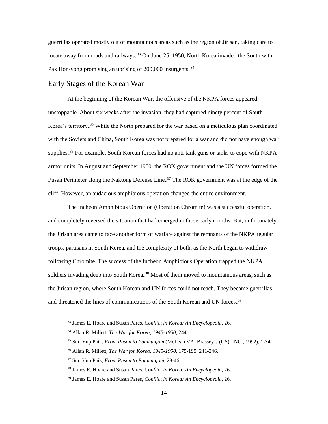guerrillas operated mostly out of mountainous areas such as the region of Jirisan, taking care to locate away from roads and railways.<sup>33</sup> On June 25, 1950, North Korea invaded the South with Pak Hon-yong promising an uprising of 200,000 insurgents.<sup>34</sup>

#### <span id="page-21-0"></span>Early Stages of the Korean War

At the beginning of the Korean War, the offensive of the NKPA forces appeared unstoppable. About six weeks after the invasion, they had captured ninety percent of South Korea's territory.<sup>35</sup> While the North prepared for the war based on a meticulous plan coordinated with the Soviets and China, South Korea was not prepared for a war and did not have enough war supplies.<sup>36</sup> For example, South Korean forces had no anti-tank guns or tanks to cope with NKPA armor units. In August and September 1950, the ROK government and the UN forces formed the Pusan Perimeter along the Naktong Defense Line.<sup>37</sup> The ROK government was at the edge of the cliff. However, an audacious amphibious operation changed the entire environment.

The Incheon Amphibious Operation (Operation Chromite) was a successful operation, and completely reversed the situation that had emerged in those early months. But, unfortunately, the Jirisan area came to face another form of warfare against the remnants of the NKPA regular troops, partisans in South Korea, and the complexity of both, as the North began to withdraw following Chromite. The success of the Incheon Amphibious Operation trapped the NKPA soldiers invading deep into South Korea.<sup>38</sup> Most of them moved to mountainous areas, such as the Jirisan region, where South Korean and UN forces could not reach. They became guerrillas and threatened the lines of communications of the South Korean and UN forces.<sup>39</sup>

 <sup>33</sup> James E. Hoare and Susan Pares, *Conflict in Korea: An Encyclopedia*, 26.

<sup>34</sup> Allan R. Millett, *The War for Korea, 1945-1950*, 244.

<sup>35</sup> Sun Yup Paik, *From Pusan to Panmunjom* (McLean VA: Brassey's (US), INC., 1992), 1-34.

<sup>36</sup> Allan R. Millett, *The War for Korea, 1945-1950*, 175-195, 241-246.

<sup>37</sup> Sun Yup Paik, *From Pusan to Panmunjom*, 28-46.

<sup>38</sup> James E. Hoare and Susan Pares, *Conflict in Korea: An Encyclopedia*, 26.

<sup>39</sup> James E. Hoare and Susan Pares, *Conflict in Korea: An Encyclopedia*, 26.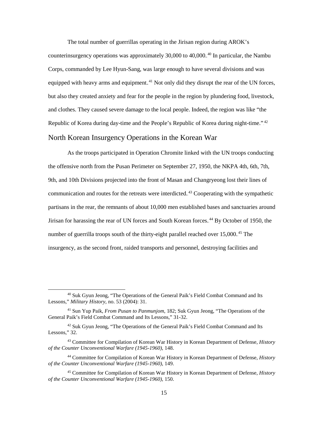The total number of guerrillas operating in the Jirisan region during AROK's counterinsurgency operations was approximately 30,000 to 40,000.<sup>40</sup> In particular, the Nambu Corps, commanded by Lee Hyun-Sang, was large enough to have several divisions and was equipped with heavy arms and equipment.<sup>41</sup> Not only did they disrupt the rear of the UN forces, but also they created anxiety and fear for the people in the region by plundering food, livestock, and clothes. They caused severe damage to the local people. Indeed, the region was like "the Republic of Korea during day-time and the People's Republic of Korea during night-time."<sup>42</sup>

#### <span id="page-22-0"></span>North Korean Insurgency Operations in the Korean War

As the troops participated in Operation Chromite linked with the UN troops conducting the offensive north from the Pusan Perimeter on September 27, 1950, the NKPA 4th, 6th, 7th, 9th, and 10th Divisions projected into the front of Masan and Changryeong lost their lines of communication and routes for the retreats were interdicted.<sup>43</sup> Cooperating with the sympathetic partisans in the rear, the remnants of about 10,000 men established bases and sanctuaries around Jirisan for harassing the rear of UN forces and South Korean forces.<sup>44</sup> By October of 1950, the number of guerrilla troops south of the thirty-eight parallel reached over  $15,000.^{45}$  The insurgency, as the second front, raided transports and personnel, destroying facilities and

 <sup>40</sup> Suk Gyun Jeong, "The Operations of the General Paik's Field Combat Command and Its Lessons," *Military History*, no. 53 (2004): 31.

<sup>41</sup> Sun Yup Paik, *From Pusan to Panmunjom*, 182; Suk Gyun Jeong, "The Operations of the General Paik's Field Combat Command and Its Lessons," 31-32.

<sup>42</sup> Suk Gyun Jeong, "The Operations of the General Paik's Field Combat Command and Its Lessons," 32.

<sup>43</sup> Committee for Compilation of Korean War History in Korean Department of Defense, *History of the Counter Unconventional Warfare (1945-1960)*, 148.

<sup>44</sup> Committee for Compilation of Korean War History in Korean Department of Defense, *History of the Counter Unconventional Warfare (1945-1960)*, 149.

<sup>45</sup> Committee for Compilation of Korean War History in Korean Department of Defense, *History of the Counter Unconventional Warfare (1945-1960)*, 150.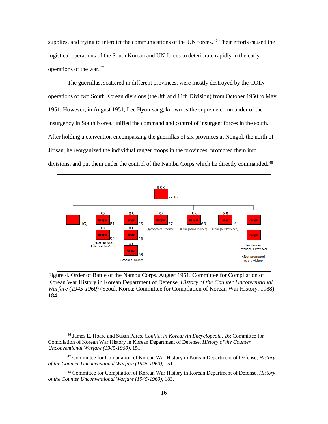supplies, and trying to interdict the communications of the UN forces.<sup>46</sup> Their efforts caused the logistical operations of the South Korean and UN forces to deteriorate rapidly in the early operations of the war. $47$ 

The guerrillas, scattered in different provinces, were mostly destroyed by the COIN operations of two South Korean divisions (the 8th and 11th Division) from October 1950 to May 1951. However, in August 1951, Lee Hyun-sang, known as the supreme commander of the insurgency in South Korea, unified the command and control of insurgent forces in the south. After holding a convention encompassing the guerrillas of six provinces at Nongol, the north of Jirisan, he reorganized the individual ranger troops in the provinces, promoted them into divisions, and put them under the control of the Nambu Corps which he directly commanded.<sup>48</sup>



<span id="page-23-0"></span>Figure 4. Order of Battle of the Nambu Corps, August 1951. Committee for Compilation of Korean War History in Korean Department of Defense, *History of the Counter Unconventional Warfare (1945-1960)* (Seoul, Korea: Committee for Compilation of Korean War History, 1988), 184.

 <sup>46</sup> James E. Hoare and Susan Pares, *Conflict in Korea: An Encyclopedia,* 26; Committee for Compilation of Korean War History in Korean Department of Defense, *History of the Counter Unconventional Warfare (1945-1960)*, 151.

<sup>47</sup> Committee for Compilation of Korean War History in Korean Department of Defense, *History of the Counter Unconventional Warfare (1945-1960)*, 151.

<sup>48</sup> Committee for Compilation of Korean War History in Korean Department of Defense, *History of the Counter Unconventional Warfare (1945-1960)*, 183.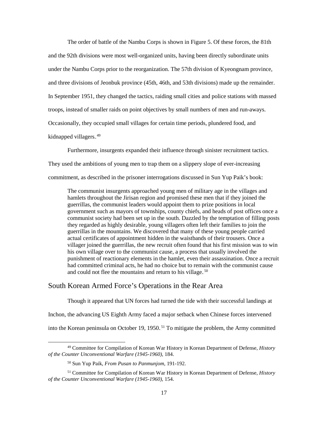The order of battle of the Nambu Corps is shown in Figure 5. Of these forces, the 81th and the 92th divisions were most well-organized units, having been directly subordinate units under the Nambu Corps prior to the reorganization. The 57th division of Kyeongnam province, and three divisions of Jeonbuk province (45th, 46th, and 53th divisions) made up the remainder. In September 1951, they changed the tactics, raiding small cities and police stations with massed troops, instead of smaller raids on point objectives by small numbers of men and run-aways. Occasionally, they occupied small villages for certain time periods, plundered food, and kidnapped villagers.<sup>49</sup>

Furthermore, insurgents expanded their influence through sinister recruitment tactics.

They used the ambitions of young men to trap them on a slippery slope of ever-increasing

commitment, as described in the prisoner interrogations discussed in Sun Yup Paik's book:

The communist insurgents approached young men of military age in the villages and hamlets throughout the Jirisan region and promised these men that if they joined the guerrillas, the communist leaders would appoint them to prize positions in local government such as mayors of townships, county chiefs, and heads of post offices once a communist society had been set up in the south. Dazzled by the temptation of filling posts they regarded as highly desirable, young villagers often left their families to join the guerrillas in the mountains. We discovered that many of these young people carried actual certificates of appointment hidden in the waistbands of their trousers. Once a villager joined the guerrillas, the new recruit often found that his first mission was to win his own village over to the communist cause, a process that usually involved the punishment of reactionary elements in the hamlet, even their assassination. Once a recruit had committed criminal acts, he had no choice but to remain with the communist cause and could not flee the mountains and return to his village.<sup>50</sup>

#### <span id="page-24-0"></span>South Korean Armed Force's Operations in the Rear Area

Though it appeared that UN forces had turned the tide with their successful landings at Inchon, the advancing US Eighth Army faced a major setback when Chinese forces intervened into the Korean peninsula on October 19, 1950.<sup>51</sup> To mitigate the problem, the Army committed

 <sup>49</sup> Committee for Compilation of Korean War History in Korean Department of Defense, *History of the Counter Unconventional Warfare (1945-1960)*, 184.

<sup>50</sup> Sun Yup Paik, *From Pusan to Panmunjom*, 191-192.

<sup>51</sup> Committee for Compilation of Korean War History in Korean Department of Defense, *History of the Counter Unconventional Warfare (1945-1960)*, 154.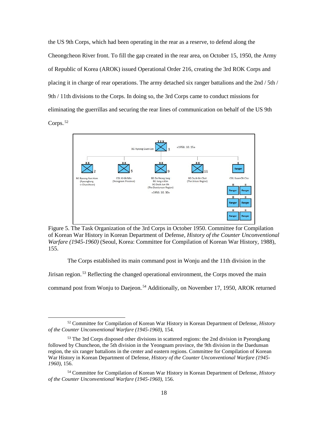the US 9th Corps, which had been operating in the rear as a reserve, to defend along the Cheongcheon River front. To fill the gap created in the rear area, on October 15, 1950, the Army of Republic of Korea (AROK) issued Operational Order 216, creating the 3rd ROK Corps and placing it in charge of rear operations. The army detached six ranger battalions and the 2nd / 5th / 9th / 11th divisions to the Corps. In doing so, the 3rd Corps came to conduct missions for eliminating the guerrillas and securing the rear lines of communication on behalf of the US 9th  $Corps.^{52}$ 



<span id="page-25-0"></span>Figure 5. The Task Organization of the 3rd Corps in October 1950. Committee for Compilation of Korean War History in Korean Department of Defense, *History of the Counter Unconventional Warfare (1945-1960)* (Seoul, Korea: Committee for Compilation of Korean War History, 1988), 155.

The Corps established its main command post in Wonju and the 11th division in the

Jirisan region.<sup>53</sup> Reflecting the changed operational environment, the Corps moved the main

command post from Wonju to Daejeon.<sup>54</sup> Additionally, on November 17, 1950, AROK returned

 <sup>52</sup> Committee for Compilation of Korean War History in Korean Department of Defense, *History of the Counter Unconventional Warfare (1945-1960)*, 154.

<sup>&</sup>lt;sup>53</sup> The 3rd Corps disposed other divisions in scattered regions: the 2nd division in Pyeongkang followed by Chuncheon, the 5th division in the Yeongnam province, the 9th division in the Daedunsan region, the six ranger battalions in the center and eastern regions. Committee for Compilation of Korean War History in Korean Department of Defense, *History of the Counter Unconventional Warfare (1945- 1960)*, 156.

<sup>54</sup> Committee for Compilation of Korean War History in Korean Department of Defense, *History of the Counter Unconventional Warfare (1945-1960),* 156.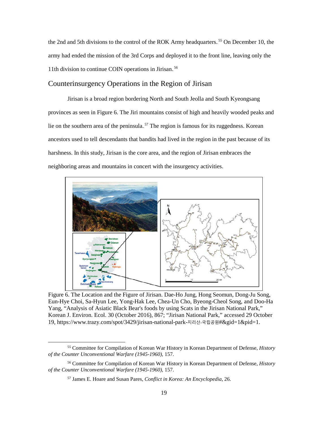the 2nd and 5th divisions to the control of the ROK Army headquarters.<sup>55</sup> On December 10, the army had ended the mission of the 3rd Corps and deployed it to the front line, leaving only the 11th division to continue COIN operations in Jirisan.<sup>56</sup>

### <span id="page-26-0"></span>Counterinsurgency Operations in the Region of Jirisan

Jirisan is a broad region bordering North and South Jeolla and South Kyeongsang provinces as seen in Figure 6. The Jiri mountains consist of high and heavily wooded peaks and lie on the southern area of the peninsula.<sup>57</sup> The region is famous for its ruggedness. Korean ancestors used to tell descendants that bandits had lived in the region in the past because of its harshness. In this study, Jirisan is the core area, and the region of Jirisan embraces the neighboring areas and mountains in concert with the insurgency activities.



<span id="page-26-1"></span>Figure 6. The Location and the Figure of Jirisan. Dae-Ho Jung, Hong Seomun, Dong-Ju Song, Eun-Hye Choi, Sa-Hyun Lee, Yong-Hak Lee, Chea-Un Cho, Byeong-Cheol Song, and Doo-Ha Yang, "Analysis of Asiatic Black Bear's foods by using Scats in the Jirisan National Park," Korean J. Environ. Ecol. 30 (October 2016), 867; "Jirisan National Park," accessed 29 October 19, https://www.trazy.com/spot/3429/jirisan-national-park-지리산-국립공원#&gid=1&pid=1.

 <sup>55</sup> Committee for Compilation of Korean War History in Korean Department of Defense, *History of the Counter Unconventional Warfare (1945-1960),* 157.

<sup>56</sup> Committee for Compilation of Korean War History in Korean Department of Defense, *History of the Counter Unconventional Warfare (1945-1960),* 157.

<sup>57</sup> James E. Hoare and Susan Pares, *Conflict in Korea: An Encyclopedia*, 26.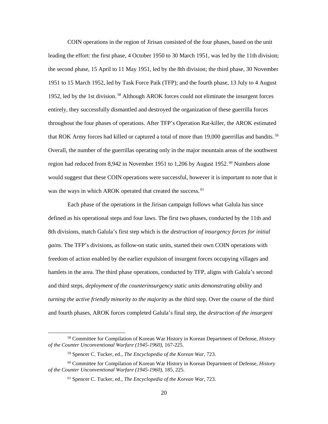COIN operations in the region of Jirisan consisted of the four phases, based on the unit leading the effort: the first phase, 4 October 1950 to 30 March 1951, was led by the 11th division; the second phase, 15 April to 11 May 1951, led by the 8th division; the third phase, 30 November 1951 to 15 March 1952, led by Task Force Paik (TFP); and the fourth phase, 13 July to 4 August 1952, led by the 1st division.<sup>58</sup> Although AROK forces could not eliminate the insurgent forces entirely, they successfully dismantled and destroyed the organization of these guerrilla forces throughout the four phases of operations. After TFP's Operation Rat-killer, the AROK estimated that ROK Army forces had killed or captured a total of more than 19,000 guerrillas and bandits.<sup>59</sup> Overall, the number of the guerrillas operating only in the major mountain areas of the southwest region had reduced from 8,942 in November 1951 to 1,206 by August 1952.<sup>60</sup> Numbers alone would suggest that these COIN operations were successful, however it is important to note that it was the ways in which AROK operated that created the success.<sup>61</sup>

Each phase of the operations in the Jirisan campaign follows what Galula has since defined as his operational steps and four laws. The first two phases, conducted by the 11th and 8th divisions, match Galula's first step which is the *destruction of insurgency forces for initial gains*. The TFP's divisions, as follow-on static units, started their own COIN operations with freedom of action enabled by the earlier expulsion of insurgent forces occupying villages and hamlets in the area. The third phase operations, conducted by TFP, aligns with Galula's second and third steps, *deployment of the counterinsurgency static units demonstrating ability* and *turning the active friendly minority to the majority* as the third step. Over the course of the third and fourth phases, AROK forces completed Galula's final step, the *destruction of the insurgent* 

 <sup>58</sup> Committee for Compilation of Korean War History in Korean Department of Defense, *History of the Counter Unconventional Warfare (1945-1960),* 167-225.

<sup>59</sup> Spencer C. Tucker, ed., *The Encyclopedia of the Korean War*, 723.

<sup>60</sup> Committee for Compilation of Korean War History in Korean Department of Defense, *History of the Counter Unconventional Warfare (1945-1960),* 185, 225.

<sup>61</sup> Spencer C. Tucker, ed., *The Encyclopedia of the Korean War*, 723.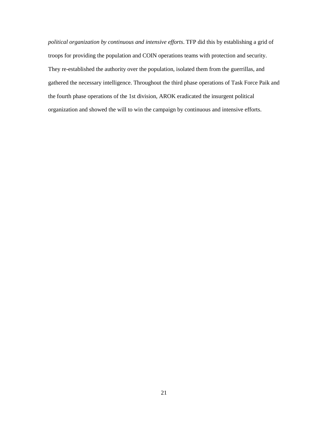*political organization by continuous and intensive efforts*. TFP did this by establishing a grid of troops for providing the population and COIN operations teams with protection and security. They re-established the authority over the population, isolated them from the guerrillas, and gathered the necessary intelligence. Throughout the third phase operations of Task Force Paik and the fourth phase operations of the 1st division, AROK eradicated the insurgent political organization and showed the will to win the campaign by continuous and intensive efforts.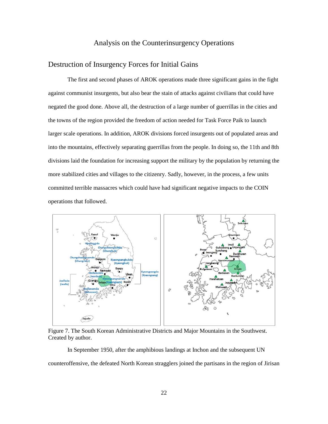## Analysis on the Counterinsurgency Operations

## <span id="page-29-1"></span><span id="page-29-0"></span>Destruction of Insurgency Forces for Initial Gains

The first and second phases of AROK operations made three significant gains in the fight against communist insurgents, but also bear the stain of attacks against civilians that could have negated the good done. Above all, the destruction of a large number of guerrillas in the cities and the towns of the region provided the freedom of action needed for Task Force Paik to launch larger scale operations. In addition, AROK divisions forced insurgents out of populated areas and into the mountains, effectively separating guerrillas from the people. In doing so, the 11th and 8th divisions laid the foundation for increasing support the military by the population by returning the more stabilized cities and villages to the citizenry. Sadly, however, in the process, a few units committed terrible massacres which could have had significant negative impacts to the COIN operations that followed.



<span id="page-29-2"></span>Figure 7. The South Korean Administrative Districts and Major Mountains in the Southwest. Created by author.

In September 1950, after the amphibious landings at Inchon and the subsequent UN counteroffensive, the defeated North Korean stragglers joined the partisans in the region of Jirisan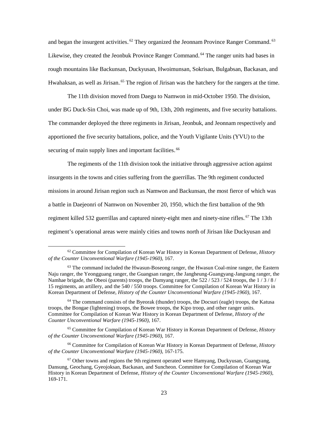and began the insurgent activities.<sup>62</sup> They organized the Jeonnam Province Ranger Command.<sup>63</sup> Likewise, they created the Jeonbuk Province Ranger Command.<sup>64</sup> The ranger units had bases in rough mountains like Backunsan, Duckyusan, Hwoimunsan, Sokrisan, Bulgabsan, Backasan, and Hwahaksan, as well as Jirisan.<sup>65</sup> The region of Jirisan was the hatchery for the rangers at the time.

The 11th division moved from Daegu to Namwon in mid-October 1950. The division, under BG Duck-Sin Choi, was made up of 9th, 13th, 20th regiments, and five security battalions. The commander deployed the three regiments in Jirisan, Jeonbuk, and Jeonnam respectively and apportioned the five security battalions, police, and the Youth Vigilante Units (YVU) to the securing of main supply lines and important facilities.<sup>66</sup>

The regiments of the 11th division took the initiative through aggressive action against insurgents in the towns and cities suffering from the guerrillas. The 9th regiment conducted missions in around Jirisan region such as Namwon and Backunsan, the most fierce of which was a battle in Daejeonri of Namwon on November 20, 1950, which the first battalion of the 9th regiment killed 532 guerrillas and captured ninety-eight men and ninety-nine rifles.<sup>67</sup> The 13th regiment's operational areas were mainly cities and towns north of Jirisan like Duckyusan and

<sup>66</sup> Committee for Compilation of Korean War History in Korean Department of Defense, *History of the Counter Unconventional Warfare (1945-1960)*, 167-175.

 <sup>62</sup> Committee for Compilation of Korean War History in Korean Department of Defense, *History of the Counter Unconventional Warfare (1945-1960)*, 167.

<sup>&</sup>lt;sup>63</sup> The command included the Hwasun-Boseong ranger, the Hwasun Coal-mine ranger, the Eastern Naju ranger, the Yeongguang ranger, the Guangsan ranger, the Jangheung-Guangyang-Jangsung ranger, the Namhae brigade, the Obeoi (parents) troops, the Damyang ranger, the  $522 / 523 / 524$  troops, the  $1 / 3 / 8 / 12$ 15 regiments, an artillery, and the 540 / 550 troops. Committee for Compilation of Korean War History in Korean Department of Defense, *History of the Counter Unconventional Warfare (1945-1960)*, 167.

 $64$  The command consists of the Byeorak (thunder) troops, the Docsuri (eagle) troops, the Katusa troops, the Bongae (lightening) troops, the Bowee troops, the Kipo troop, and other ranger units. Committee for Compilation of Korean War History in Korean Department of Defense, *History of the Counter Unconventional Warfare (1945-1960)*, 167.

<sup>65</sup> Committee for Compilation of Korean War History in Korean Department of Defense, *History of the Counter Unconventional Warfare (1945-1960)*, 167.

 $67$  Other towns and regions the 9th regiment operated were Hamyang, Duckyusan, Guangyang, Dansung, Geochang, Gyeojoksan, Backasan, and Suncheon. Committee for Compilation of Korean War History in Korean Department of Defense, *History of the Counter Unconventional Warfare (1945-1960)*, 169-171.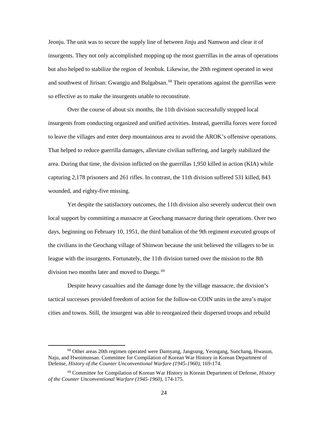Jeonju. The unit was to secure the supply line of between Jinju and Namwon and clear it of insurgents. They not only accomplished mopping up the most guerrillas in the areas of operations but also helped to stabilize the region of Jeonbuk. Likewise, the 20th regiment operated in west and southwest of Jirisan: Gwangju and Bulgabsan.<sup>68</sup> Their operations against the guerrillas were so effective as to make the insurgents unable to reconstitute.

Over the course of about six months, the 11th division successfully stopped local insurgents from conducting organized and unified activities. Instead, guerrilla forces were forced to leave the villages and enter deep mountainous area to avoid the AROK's offensive operations. That helped to reduce guerrilla damages, alleviate civilian suffering, and largely stabilized the area. During that time, the division inflicted on the guerrillas 1,950 killed in action (KIA) while capturing 2,178 prisoners and 261 rifles. In contrast, the 11th division suffered 531 killed, 843 wounded, and eighty-five missing.

Yet despite the satisfactory outcomes, the 11th division also severely undercut their own local support by committing a massacre at Geochang massacre during their operations. Over two days, beginning on February 10, 1951, the third battalion of the 9th regiment executed groups of the civilians in the Geochang village of Shinwon because the unit believed the villagers to be in league with the insurgents. Fortunately, the 11th division turned over the mission to the 8th division two months later and moved to Daegu.<sup>69</sup>

Despite heavy casualties and the damage done by the village massacre, the division's tactical successes provided freedom of action for the follow-on COIN units in the area's major cities and towns. Still, the insurgent was able to reorganized their dispersed troops and rebuild

 <sup>68</sup> Other areas 20th regimen operated were Damyang, Jangsung, Yeongang, Sunchang, Hwasun, Naju, and Hwoimunsan. Committee for Compilation of Korean War History in Korean Department of Defense, *History of the Counter Unconventional Warfare (1945-1960)*, 169-174.

<sup>69</sup> Committee for Compilation of Korean War History in Korean Department of Defense, *History of the Counter Unconventional Warfare (1945-1960)*, 174-175.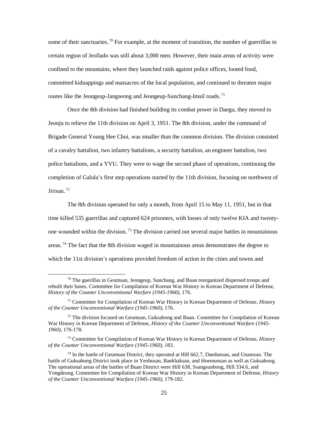some of their sanctuaries.<sup>70</sup> For example, at the moment of transition, the number of guerrillas in certain region of Jeollado was still about 3,000 men. However, their main areas of activity were confined to the mountains, where they launched raids against police offices, looted food, committed kidnappings and massacres of the local population, and continued to threaten major routes like the Jeongeup-Jangseong and Jeongeup-Sunchang-Imsil roads.<sup>71</sup>

Once the 8th division had finished building its combat power in Daegu, they moved to Jeonju to relieve the 11th division on April 3, 1951. The 8th division, under the command of Brigade General Young Hee Choi, was smaller than the common division. The division consisted of a cavalry battalion, two infantry battalions, a security battalion, an engineer battalion, two police battalions, and a YVU. They were to wage the second phase of operations, continuing the completion of Galula's first step operations started by the 11th division, focusing on northwest of Jirisan.<sup>72</sup>

The 8th division operated for only a month, from April 15 to May 11, 1951, but in that time killed 535 guerrillas and captured 624 prisoners, with losses of only twelve KIA and twentyone wounded within the division.<sup>73</sup> The division carried out several major battles in mountainous areas.<sup>74</sup> The fact that the 8th division waged in mountainous areas demonstrates the degree to which the 11st division's operations provided freedom of action in the cities and towns and

 $70$  The guerillas in Geumsan, Jeongeup, Sunchang, and Buan reorganized dispersed troops and rebuilt their bases. Committee for Compilation of Korean War History in Korean Department of Defense, *History of the Counter Unconventional Warfare (1945-1960)*, 176.

<sup>71</sup> Committee for Compilation of Korean War History in Korean Department of Defense, *History of the Counter Unconventional Warfare (1945-1960)*, 176.

 $72$  The division focused on Geumsan, Guksabong and Buan. Committee for Compilation of Korean War History in Korean Department of Defense, *History of the Counter Unconventional Warfare (1945- 1960)*, 176-178.

<sup>73</sup> Committee for Compilation of Korean War History in Korean Department of Defense, *History of the Counter Unconventional Warfare (1945-1960)*, 183.

 $74$  In the battle of Geumsan District, they operated at Hill 662.7, Daedunsan, and Unamsan. The battle of Guksabong District took place in Yeobusan, Baekhaksan, and Hoemunsan as well as Guksabong. The operational areas of the battles of Buan District were Hill 638, Ssangsunbong, Hill 334.6, and Yongdeung. Committee for Compilation of Korean War History in Korean Department of Defense, *History of the Counter Unconventional Warfare (1945-1960)*, 179-182.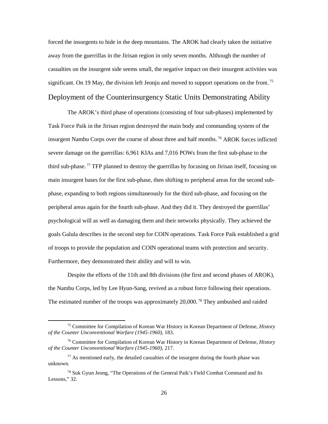forced the insurgents to hide in the deep mountains. The AROK had clearly taken the initiative away from the guerrillas in the Jirisan region in only seven months. Although the number of casualties on the insurgent side seems small, the negative impact on their insurgent activities was significant. On 19 May, the division left Jeonju and moved to support operations on the front.<sup>75</sup>

## <span id="page-33-0"></span>Deployment of the Counterinsurgency Static Units Demonstrating Ability

The AROK's third phase of operations (consisting of four sub-phases) implemented by Task Force Paik in the Jirisan region destroyed the main body and commanding system of the insurgent Nambu Corps over the course of about three and half months.<sup>76</sup> AROK forces inflicted severe damage on the guerrillas: 6,961 KIAs and 7,016 POWs from the first sub-phase to the third sub-phase.<sup>77</sup> TFP planned to destroy the guerrillas by focusing on Jirisan itself, focusing on main insurgent bases for the first sub-phase, then shifting to peripheral areas for the second subphase, expanding to both regions simultaneously for the third sub-phase, and focusing on the peripheral areas again for the fourth sub-phase. And they did it. They destroyed the guerrillas' psychological will as well as damaging them and their networks physically. They achieved the goals Galula describes in the second step for COIN operations. Task Force Paik established a grid of troops to provide the population and COIN operational teams with protection and security. Furthermore, they demonstrated their ability and will to win.

Despite the efforts of the 11th and 8th divisions (the first and second phases of AROK), the Nambu Corps, led by Lee Hyun-Sang, revived as a robust force following their operations. The estimated number of the troops was approximately 20,000.<sup>78</sup> They ambushed and raided

 <sup>75</sup> Committee for Compilation of Korean War History in Korean Department of Defense, *History of the Counter Unconventional Warfare (1945-1960)*, 183.

<sup>76</sup> Committee for Compilation of Korean War History in Korean Department of Defense, *History of the Counter Unconventional Warfare (1945-1960)*, 217.

 $77$  As mentioned early, the detailed casualties of the insurgent during the fourth phase was unknown.

<sup>78</sup> Suk Gyun Jeong, "The Operations of the General Paik's Field Combat Command and Its Lessons," 32.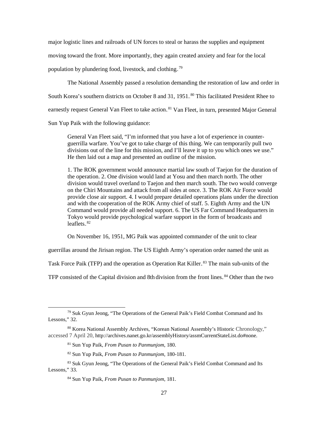major logistic lines and railroads of UN forces to steal or harass the supplies and equipment

moving toward the front. More importantly, they again created anxiety and fear for the local

population by plundering food, livestock, and clothing.<sup>79</sup>

The National Assembly passed a resolution demanding the restoration of law and order in

South Korea's southern districts on October 8 and 31, 1951.<sup>80</sup> This facilitated President Rhee to

earnestly request General Van Fleet to take action.<sup>81</sup> Van Fleet, in turn, presented Major General

Sun Yup Paik with the following guidance:

General Van Fleet said, "I'm informed that you have a lot of experience in counterguerrilla warfare. You've got to take charge of this thing. We can temporarily pull two divisions out of the line for this mission, and I'll leave it up to you which ones we use." He then laid out a map and presented an outline of the mission.

1. The ROK government would announce martial law south of Taejon for the duration of the operation. 2. One division would land at Yosu and then march north. The other division would travel overland to Taejon and then march south. The two would converge on the Chiri Mountains and attack from all sides at once. 3. The ROK Air Force would provide close air support. 4. I would prepare detailed operations plans under the direction and with the cooperation of the ROK Army chief of staff. 5. Eighth Army and the UN Command would provide all needed support. 6. The US Far Command Headquarters in Tokyo would provide psychological warfare support in the form of broadcasts and leaflets. $82$ 

On November 16, 1951, MG Paik was appointed commander of the unit to clear

guerrillas around the Jirisan region. The US Eighth Army's operation order named the unit as

Task Force Paik (TFP) and the operation as Operation Rat Killer.<sup>83</sup> The main sub-units of the

TFP consisted of the Capital division and 8th division from the front lines.<sup>84</sup> Other than the two

 <sup>79</sup> Suk Gyun Jeong, "The Operations of the General Paik's Field Combat Command and Its Lessons," 32.

<sup>80</sup> Korea National Assembly Archives, "Korean National Assembly's Historic Chronology," accessed 7 April 20, http://archives.nanet.go.kr/assemblyHistory/assmCurrentStateList.do#none.

<sup>81</sup> Sun Yup Paik, *From Pusan to Panmunjom*, 180.

<sup>82</sup> Sun Yup Paik, *From Pusan to Panmunjom*, 180-181.

<sup>83</sup> Suk Gyun Jeong, "The Operations of the General Paik's Field Combat Command and Its Lessons," 33.

<sup>84</sup> Sun Yup Paik, *From Pusan to Panmunjom*, 181.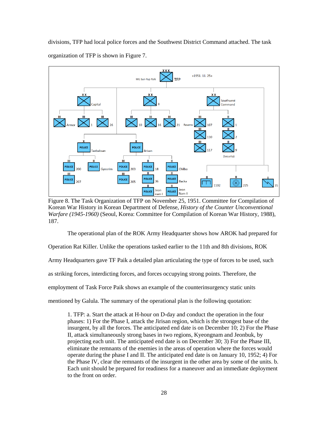divisions, TFP had local police forces and the Southwest District Command attached. The task organization of TFP is shown in Figure 7.



<span id="page-35-0"></span>Figure 8. The Task Organization of TFP on November 25, 1951. Committee for Compilation of Korean War History in Korean Department of Defense, *History of the Counter Unconventional Warfare (1945-1960)* (Seoul, Korea: Committee for Compilation of Korean War History, 1988), 187.

The operational plan of the ROK Army Headquarter shows how AROK had prepared for

Operation Rat Killer. Unlike the operations tasked earlier to the 11th and 8th divisions, ROK

Army Headquarters gave TF Paik a detailed plan articulating the type of forces to be used, such

as striking forces, interdicting forces, and forces occupying strong points. Therefore, the

employment of Task Force Paik shows an example of the counterinsurgency static units

mentioned by Galula. The summary of the operational plan is the following quotation:

1. TFP: a. Start the attack at H-hour on D-day and conduct the operation in the four phases: 1) For the Phase I, attack the Jirisan region, which is the strongest base of the insurgent, by all the forces. The anticipated end date is on December 10; 2) For the Phase II, attack simultaneously strong bases in two regions, Kyeongnam and Jeonbuk, by projecting each unit. The anticipated end date is on December 30; 3) For the Phase III, eliminate the remnants of the enemies in the areas of operation where the forces would operate during the phase I and II. The anticipated end date is on January 10, 1952; 4) For the Phase IV, clear the remnants of the insurgent in the other area by some of the units. b. Each unit should be prepared for readiness for a maneuver and an immediate deployment to the front on order.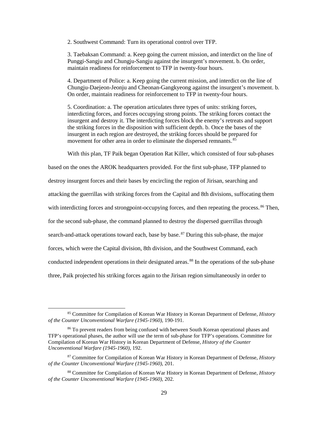2. Southwest Command: Turn its operational control over TFP.

3. Taebaksan Command: a. Keep going the current mission, and interdict on the line of Punggi-Sangju and Chungju-Sangju against the insurgent's movement. b. On order, maintain readiness for reinforcement to TFP in twenty-four hours.

4. Department of Police: a. Keep going the current mission, and interdict on the line of Chungju-Daejeon-Jeonju and Cheonan-Gangkyeong against the insurgent's movement. b. On order, maintain readiness for reinforcement to TFP in twenty-four hours.

5. Coordination: a. The operation articulates three types of units: striking forces, interdicting forces, and forces occupying strong points. The striking forces contact the insurgent and destroy it. The interdicting forces block the enemy's retreats and support the striking forces in the disposition with sufficient depth. b. Once the bases of the insurgent in each region are destroyed, the striking forces should be prepared for movement for other area in order to eliminate the dispersed remnants.<sup>85</sup>

With this plan, TF Paik began Operation Rat Killer, which consisted of four sub-phases

based on the ones the AROK headquarters provided. For the first sub-phase, TFP planned to destroy insurgent forces and their bases by encircling the region of Jirisan, searching and attacking the guerrillas with striking forces from the Capital and 8th divisions, suffocating them with interdicting forces and strongpoint-occupying forces, and then repeating the process.<sup>86</sup> Then, for the second sub-phase, the command planned to destroy the dispersed guerrillas through search-and-attack operations toward each, base by base.<sup>87</sup> During this sub-phase, the major forces, which were the Capital division, 8th division, and the Southwest Command, each conducted independent operations in their designated areas.<sup>88</sup> In the operations of the sub-phase three, Paik projected his striking forces again to the Jirisan region simultaneously in order to

 <sup>85</sup> Committee for Compilation of Korean War History in Korean Department of Defense, *History of the Counter Unconventional Warfare (1945-1960)*, 190-191.

<sup>86</sup> To prevent readers from being confused with between South Korean operational phases and TFP's operational phases, the author will use the term of sub-phase for TFP's operations. Committee for Compilation of Korean War History in Korean Department of Defense, *History of the Counter Unconventional Warfare (1945-1960)*, 192.

<sup>87</sup> Committee for Compilation of Korean War History in Korean Department of Defense, *History of the Counter Unconventional Warfare (1945-1960)*, 201.

<sup>88</sup> Committee for Compilation of Korean War History in Korean Department of Defense, *History of the Counter Unconventional Warfare (1945-1960)*, 202.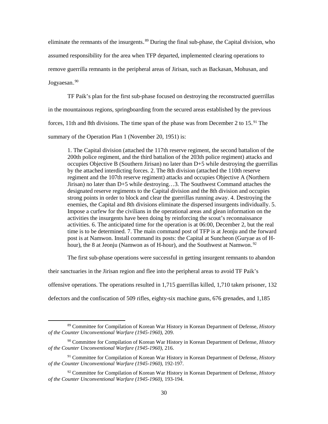eliminate the remnants of the insurgents.<sup>89</sup> During the final sub-phase, the Capital division, who assumed responsibility for the area when TFP departed, implemented clearing operations to remove guerrilla remnants in the peripheral areas of Jirisan, such as Backasan, Mohusan, and Jogyaesan.<sup>90</sup>

TF Paik's plan for the first sub-phase focused on destroying the reconstructed guerrillas in the mountainous regions, springboarding from the secured areas established by the previous forces, 11th and 8th divisions. The time span of the phase was from December 2 to  $15.^{91}$  The summary of the Operation Plan 1 (November 20, 1951) is:

1. The Capital division (attached the 117th reserve regiment, the second battalion of the 200th police regiment, and the third battalion of the 203th police regiment) attacks and occupies Objective B (Southern Jirisan) no later than  $D+5$  while destroying the guerrillas by the attached interdicting forces. 2. The 8th division (attached the 110th reserve regiment and the 107th reserve regiment) attacks and occupies Objective A (Northern Jirisan) no later than D+5 while destroying…3. The Southwest Command attaches the designated reserve regiments to the Capital division and the 8th division and occupies strong points in order to block and clear the guerrillas running away. 4. Destroying the enemies, the Capital and 8th divisions eliminate the dispersed insurgents individually. 5. Impose a curfew for the civilians in the operational areas and glean information on the activities the insurgents have been doing by reinforcing the scout's reconnaissance activities. 6. The anticipated time for the operation is at 06:00, December 2, but the real time is to be determined. 7. The main command post of TFP is at Jeonju and the forward post is at Namwon. Install command its posts: the Capital at Suncheon (Guryae as of Hhour), the 8 at Jeonju (Namwon as of H-hour), and the Southwest at Namwon.<sup>92</sup>

The first sub-phase operations were successful in getting insurgent remnants to abandon

their sanctuaries in the Jirisan region and flee into the peripheral areas to avoid TF Paik's

offensive operations. The operations resulted in 1,715 guerrillas killed, 1,710 taken prisoner, 132

defectors and the confiscation of 509 rifles, eighty-six machine guns, 676 grenades, and 1,185

 <sup>89</sup> Committee for Compilation of Korean War History in Korean Department of Defense, *History of the Counter Unconventional Warfare (1945-1960)*, 209.

<sup>90</sup> Committee for Compilation of Korean War History in Korean Department of Defense, *History of the Counter Unconventional Warfare (1945-1960)*, 216.

<sup>91</sup> Committee for Compilation of Korean War History in Korean Department of Defense, *History of the Counter Unconventional Warfare (1945-1960)*, 192-197.

<sup>92</sup> Committee for Compilation of Korean War History in Korean Department of Defense, *History of the Counter Unconventional Warfare (1945-1960)*, 193-194.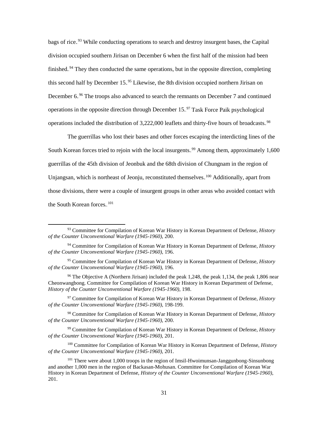bags of rice.<sup>93</sup> While conducting operations to search and destroy insurgent bases, the Capital division occupied southern Jirisan on December 6 when the first half of the mission had been finished.<sup>94</sup> They then conducted the same operations, but in the opposite direction, completing this second half by December 15.<sup>95</sup> Likewise, the 8th division occupied northern Jirisan on December 6.<sup>96</sup> The troops also advanced to search the remnants on December 7 and continued operations in the opposite direction through December 15.<sup>97</sup> Task Force Paik psychological operations included the distribution of 3,222,000 leaflets and thirty-five hours of broadcasts.<sup>98</sup>

The guerrillas who lost their bases and other forces escaping the interdicting lines of the South Korean forces tried to rejoin with the local insurgents.<sup>99</sup> Among them, approximately 1,600 guerrillas of the 45th division of Jeonbuk and the 68th division of Chungnam in the region of Unjangsan, which is northeast of Jeonju, reconstituted themselves.<sup>100</sup> Additionally, apart from those divisions, there were a couple of insurgent groups in other areas who avoided contact with the South Korean forces.<sup>101</sup>

<sup>97</sup> Committee for Compilation of Korean War History in Korean Department of Defense, *History of the Counter Unconventional Warfare (1945-1960)*, 198-199.

<sup>98</sup> Committee for Compilation of Korean War History in Korean Department of Defense, *History of the Counter Unconventional Warfare (1945-1960)*, 200.

<sup>99</sup> Committee for Compilation of Korean War History in Korean Department of Defense, *History of the Counter Unconventional Warfare (1945-1960)*, 201.

<sup>100</sup> Committee for Compilation of Korean War History in Korean Department of Defense, *History of the Counter Unconventional Warfare (1945-1960)*, 201.

 <sup>93</sup> Committee for Compilation of Korean War History in Korean Department of Defense, *History of the Counter Unconventional Warfare (1945-1960)*, 200.

<sup>94</sup> Committee for Compilation of Korean War History in Korean Department of Defense, *History of the Counter Unconventional Warfare (1945-1960)*, 196.

<sup>95</sup> Committee for Compilation of Korean War History in Korean Department of Defense, *History of the Counter Unconventional Warfare (1945-1960)*, 196.

<sup>96</sup> The Objective A (Northern Jirisan) included the peak 1,248, the peak 1,134, the peak 1,806 near Cheonwangbong. Committee for Compilation of Korean War History in Korean Department of Defense, *History of the Counter Unconventional Warfare (1945-1960)*, 198.

<sup>&</sup>lt;sup>101</sup> There were about 1,000 troops in the region of Imsil-Hwoimunsan-Janggunbong-Sinsunbong and another 1,000 men in the region of Backasan-Mohusan. Committee for Compilation of Korean War History in Korean Department of Defense, *History of the Counter Unconventional Warfare (1945-1960)*, 201.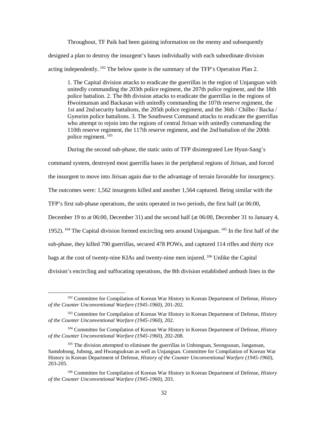Throughout, TF Paik had been gaining information on the enemy and subsequently designed a plan to destroy the insurgent's bases individually with each subordinate division acting independently.<sup>102</sup> The below quote is the summary of the TFP's Operation Plan 2.

1. The Capital division attacks to eradicate the guerrillas in the region of Unjangsan with unitedly commanding the 203th police regiment, the 207th police regiment, and the 18th police battalion. 2. The 8th division attacks to eradicate the guerrillas in the regions of Hwoimunsan and Backasan with unitedly commanding the 107th reserve regiment, the 1st and 2nd security battalions, the 205th police regiment, and the 36th / Chilbo / Backa / Gyeorim police battalions. 3. The Southwest Command attacks to eradicate the guerrillas who attempt to rejoin into the regions of central Jirisan with unitedly commanding the 110th reserve regiment, the 117th reserve regiment, and the 2nd battalion of the 200th police regiment.<sup>103</sup>

During the second sub-phase, the static units of TFP disintegrated Lee Hyun-Sang's

command system, destroyed most guerrilla bases in the peripheral regions of Jirisan, and forced

the insurgent to move into Jirisan again due to the advantage of terrain favorable for insurgency.

The outcomes were: 1,562 insurgents killed and another 1,564 captured. Being similar with the

TFP's first sub-phase operations, the units operated in two periods, the first half (at 06:00,

December 19 to at 06:00, December 31) and the second half (at 06:00, December 31 to January 4,

1952). <sup>104</sup> The Capital division formed encircling nets around Unjangsan. <sup>105</sup> In the first half of the

sub-phase, they killed 790 guerrillas, secured 478 POWs, and captured 114 rifles and thirty rice

bags at the cost of twenty-nine KIAs and twenty-nine men injured. <sup>106</sup> Unlike the Capital

division's encircling and suffocating operations, the 8th division established ambush lines in the

 <sup>102</sup> Committee for Compilation of Korean War History in Korean Department of Defense, *History of the Counter Unconventional Warfare (1945-1960)*, 201-202.

<sup>103</sup> Committee for Compilation of Korean War History in Korean Department of Defense, *History of the Counter Unconventional Warfare (1945-1960)*, 202.

<sup>104</sup> Committee for Compilation of Korean War History in Korean Department of Defense, *History of the Counter Unconventional Warfare (1945-1960)*, 202-208.

<sup>&</sup>lt;sup>105</sup> The division attempted to eliminate the guerrillas in Unbongsan, Seongsusan, Jangansan, Samdobong, Jubong, and Hwangsuksan as well as Unjangsan. Committee for Compilation of Korean War History in Korean Department of Defense, *History of the Counter Unconventional Warfare (1945-1960)*, 203-205.

<sup>106</sup> Committee for Compilation of Korean War History in Korean Department of Defense, *History of the Counter Unconventional Warfare (1945-1960)*, 203.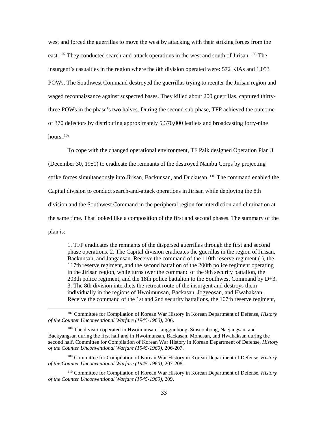west and forced the guerrillas to move the west by attacking with their striking forces from the east.<sup>107</sup> They conducted search-and-attack operations in the west and south of Jirisan.<sup>108</sup> The insurgent's casualties in the region where the 8th division operated were: 572 KIAs and 1,053 POWs. The Southwest Command destroyed the guerrillas trying to reenter the Jirisan region and waged reconnaissance against suspected bases. They killed about 200 guerrillas, captured thirtythree POWs in the phase's two halves. During the second sub-phase, TFP achieved the outcome of 370 defectors by distributing approximately 5,370,000 leaflets and broadcasting forty-nine hours. $109$ 

To cope with the changed operational environment, TF Paik designed Operation Plan 3 (December 30, 1951) to eradicate the remnants of the destroyed Nambu Corps by projecting strike forces simultaneously into Jirisan, Backunsan, and Duckusan.<sup>110</sup> The command enabled the Capital division to conduct search-and-attack operations in Jirisan while deploying the 8th division and the Southwest Command in the peripheral region for interdiction and elimination at the same time. That looked like a composition of the first and second phases. The summary of the plan is:

1. TFP eradicates the remnants of the dispersed guerrillas through the first and second phase operations. 2. The Capital division eradicates the guerillas in the region of Jirisan, Backunsan, and Jangansan. Receive the command of the 110th reserve regiment (-), the 117th reserve regiment, and the second battalion of the 200th police regiment operating in the Jirisan region, while turns over the command of the 9th security battalion, the 203th police regiment, and the 18th police battalion to the Southwest Command by D+3. 3. The 8th division interdicts the retreat route of the insurgent and destroys them individually in the regions of Hwoimunsan, Backasan, Jogyeosan, and Hwahaksan. Receive the command of the 1st and 2nd security battalions, the 107th reserve regiment,

 <sup>107</sup> Committee for Compilation of Korean War History in Korean Department of Defense, *History of the Counter Unconventional Warfare (1945-1960)*, 206.

<sup>108</sup> The division operated in Hwoimunsan, Janggunbong, Sinseonbong, Naejangsan, and Backyangsan during the first half and in Hwoimunsan, Backasan, Mohusan, and Hwahaksan during the second half. Committee for Compilation of Korean War History in Korean Department of Defense, *History of the Counter Unconventional Warfare (1945-1960)*, 206-207.

<sup>109</sup> Committee for Compilation of Korean War History in Korean Department of Defense, *History of the Counter Unconventional Warfare (1945-1960)*, 207-208.

<sup>110</sup> Committee for Compilation of Korean War History in Korean Department of Defense, *History of the Counter Unconventional Warfare (1945-1960)*, 209.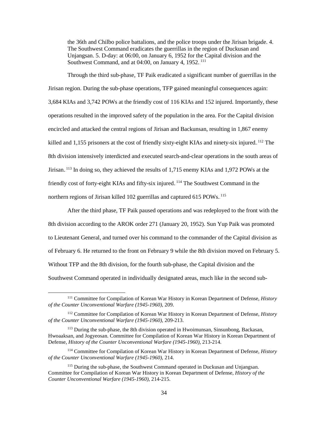the 36th and Chilbo police battalions, and the police troops under the Jirisan brigade. 4. The Southwest Command eradicates the guerrillas in the region of Duckusan and Unjangsan. 5. D-day: at 06:00, on January 6, 1952 for the Capital division and the Southwest Command, and at 04:00, on January 4, 1952.<sup>111</sup>

Through the third sub-phase, TF Paik eradicated a significant number of guerrillas in the Jirisan region. During the sub-phase operations, TFP gained meaningful consequences again: 3,684 KIAs and 3,742 POWs at the friendly cost of 116 KIAs and 152 injured. Importantly, these operations resulted in the improved safety of the population in the area. For the Capital division encircled and attacked the central regions of Jirisan and Backunsan, resulting in 1,867 enemy killed and 1,155 prisoners at the cost of friendly sixty-eight KIAs and ninety-six injured.<sup>112</sup> The 8th division intensively interdicted and executed search-and-clear operations in the south areas of Jirisan.<sup>113</sup> In doing so, they achieved the results of 1,715 enemy KIAs and 1,972 POWs at the friendly cost of forty-eight KIAs and fifty-six injured.<sup>114</sup> The Southwest Command in the northern regions of Jirisan killed 102 guerrillas and captured 615 POWs.<sup>115</sup>

After the third phase, TF Paik paused operations and was redeployed to the front with the 8th division according to the AROK order 271 (January 20, 1952). Sun Yup Paik was promoted to Lieutenant General, and turned over his command to the commander of the Capital division as of February 6. He returned to the front on February 9 while the 8th division moved on February 5. Without TFP and the 8th division, for the fourth sub-phase, the Capital division and the Southwest Command operated in individually designated areas, much like in the second sub-

 <sup>111</sup> Committee for Compilation of Korean War History in Korean Department of Defense, *History of the Counter Unconventional Warfare (1945-1960)*, 209.

<sup>112</sup> Committee for Compilation of Korean War History in Korean Department of Defense, *History of the Counter Unconventional Warfare (1945-1960)*, 209-213.

<sup>&</sup>lt;sup>113</sup> During the sub-phase, the 8th division operated in Hwoimunsan, Sinsunbong, Backasan, Hwoaaksan, and Jogyeosan. Committee for Compilation of Korean War History in Korean Department of Defense, *History of the Counter Unconventional Warfare (1945-1960)*, 213-214.

<sup>114</sup> Committee for Compilation of Korean War History in Korean Department of Defense, *History of the Counter Unconventional Warfare (1945-1960)*, 214.

<sup>&</sup>lt;sup>115</sup> During the sub-phase, the Southwest Command operated in Duckusan and Unjangsan. Committee for Compilation of Korean War History in Korean Department of Defense, *History of the Counter Unconventional Warfare (1945-1960)*, 214-215.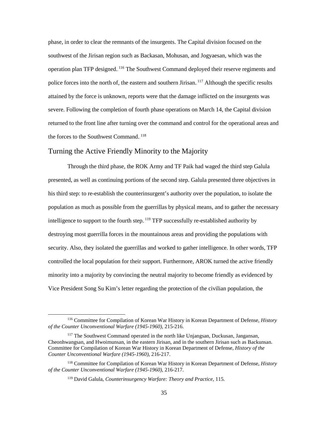phase, in order to clear the remnants of the insurgents. The Capital division focused on the southwest of the Jirisan region such as Backasan, Mohusan, and Jogyaesan, which was the operation plan TFP designed. <sup>116</sup> The Southwest Command deployed their reserve regiments and police forces into the north of, the eastern and southern Jirisan.<sup>117</sup> Although the specific results attained by the force is unknown, reports were that the damage inflicted on the insurgents was severe. Following the completion of fourth phase operations on March 14, the Capital division returned to the front line after turning over the command and control for the operational areas and the forces to the Southwest Command.<sup>118</sup>

#### <span id="page-42-0"></span>Turning the Active Friendly Minority to the Majority

Through the third phase, the ROK Army and TF Paik had waged the third step Galula presented, as well as continuing portions of the second step. Galula presented three objectives in his third step: to re-establish the counterinsurgent's authority over the population, to isolate the population as much as possible from the guerrillas by physical means, and to gather the necessary intelligence to support to the fourth step. <sup>119</sup> TFP successfully re-established authority by destroying most guerrilla forces in the mountainous areas and providing the populations with security. Also, they isolated the guerrillas and worked to gather intelligence. In other words, TFP controlled the local population for their support. Furthermore, AROK turned the active friendly minority into a majority by convincing the neutral majority to become friendly as evidenced by Vice President Song Su Kim's letter regarding the protection of the civilian population, the

 <sup>116</sup> Committee for Compilation of Korean War History in Korean Department of Defense, *History of the Counter Unconventional Warfare (1945-1960)*, 215-216.

<sup>117</sup> The Southwest Command operated in the north like Unjangsan, Duckusan, Jangansan, Cheonhwangsan, and Hwoimunsan, in the eastern Jirisan, and in the southern Jirisan such as Backunsan. Committee for Compilation of Korean War History in Korean Department of Defense, *History of the Counter Unconventional Warfare (1945-1960)*, 216-217.

<sup>118</sup> Committee for Compilation of Korean War History in Korean Department of Defense, *History of the Counter Unconventional Warfare (1945-1960)*, 216-217.

<sup>119</sup> David Galula, *Counterinsurgency Warfare: Theory and Practice*, 115.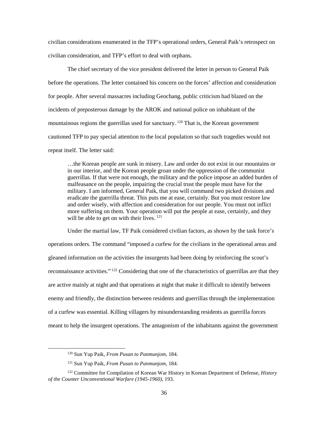civilian considerations enumerated in the TFP's operational orders, General Paik's retrospect on civilian consideration, and TFP's effort to deal with orphans.

The chief secretary of the vice president delivered the letter in person to General Paik before the operations. The letter contained his concern on the forces' affection and consideration for people. After several massacres including Geochang, public criticism had blazed on the incidents of preposterous damage by the AROK and national police on inhabitant of the mountainous regions the guerrillas used for sanctuary.  $120$  That is, the Korean government cautioned TFP to pay special attention to the local population so that such tragedies would not repeat itself. The letter said:

…the Korean people are sunk in misery. Law and order do not exist in our mountains or in our interior, and the Korean people groan under the oppression of the communist guerrillas. If that were not enough, the military and the police impose an added burden of malfeasance on the people, impairing the crucial trust the people must have for the military. I am informed, General Paik, that you will command two picked divisions and eradicate the guerrilla threat. This puts me at ease, certainly. But you must restore law and order wisely, with affection and consideration for our people. You must not inflict more suffering on them. Your operation will put the people at ease, certainly, and they will be able to get on with their lives. $121$ 

Under the martial law, TF Paik considered civilian factors, as shown by the task force's operations orders. The command "imposed a curfew for the civilians in the operational areas and gleaned information on the activities the insurgents had been doing by reinforcing the scout's reconnaissance activities.".<sup>122</sup> Considering that one of the characteristics of guerrillas are that they are active mainly at night and that operations at night that make it difficult to identify between enemy and friendly, the distinction between residents and guerrillas through the implementation of a curfew was essential. Killing villagers by misunderstanding residents as guerrilla forces meant to help the insurgent operations. The antagonism of the inhabitants against the government

 <sup>120</sup> Sun Yup Paik, *From Pusan to Panmunjom*, 184.

<sup>121</sup> Sun Yup Paik, *From Pusan to Panmunjom*, 184.

<sup>122</sup> Committee for Compilation of Korean War History in Korean Department of Defense, *History of the Counter Unconventional Warfare (1945-1960)*, 193.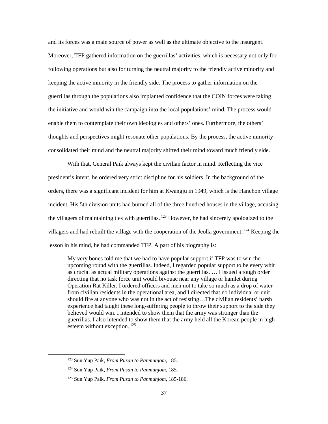and its forces was a main source of power as well as the ultimate objective to the insurgent. Moreover, TFP gathered information on the guerrillas' activities, which is necessary not only for following operations but also for turning the neutral majority to the friendly active minority and keeping the active minority in the friendly side. The process to gather information on the guerrillas through the populations also implanted confidence that the COIN forces were taking the initiative and would win the campaign into the local populations' mind. The process would enable them to contemplate their own ideologies and others' ones. Furthermore, the others' thoughts and perspectives might resonate other populations. By the process, the active minority consolidated their mind and the neutral majority shifted their mind toward much friendly side.

With that, General Paik always kept the civilian factor in mind. Reflecting the vice president's intent, he ordered very strict discipline for his soldiers. In the background of the orders, there was a significant incident for him at Kwangju in 1949, which is the Hanchon village incident. His 5th division units had burned all of the three hundred houses in the village, accusing the villagers of maintaining ties with guerrillas.<sup>123</sup> However, he had sincerely apologized to the villagers and had rebuilt the village with the cooperation of the Jeolla government.<sup>124</sup> Keeping the lesson in his mind, he had commanded TFP. A part of his biography is:

My very bones told me that we had to have popular support if TFP was to win the upcoming round with the guerrillas. Indeed, I regarded popular support to be every whit as crucial as actual military operations against the guerrillas. … I issued a tough order directing that no task force unit would bivouac near any village or hamlet during Operation Rat Killer. I ordered officers and men not to take so much as a drop of water from civilian residents in the operational area, and I directed that no individual or unit should fire at anyone who was not in the act of resisting…The civilian residents' harsh experience had taught these long-suffering people to throw their support to the side they believed would win. I intended to show them that the army was stronger than the guerrillas. I also intended to show them that the army held all the Korean people in high esteem without exception.<sup>125</sup>

 <sup>123</sup> Sun Yup Paik, *From Pusan to Panmunjom*, 185.

<sup>124</sup> Sun Yup Paik, *From Pusan to Panmunjom*, 185.

<sup>125</sup> Sun Yup Paik, *From Pusan to Panmunjom*, 185-186.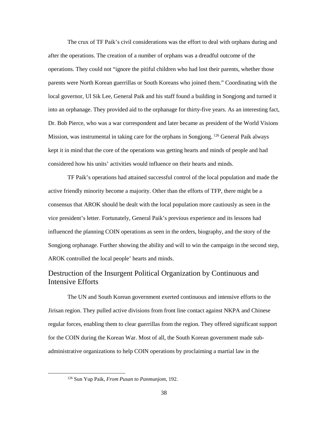The crux of TF Paik's civil considerations was the effort to deal with orphans during and after the operations. The creation of a number of orphans was a dreadful outcome of the operations. They could not "ignore the pitiful children who had lost their parents, whether those parents were North Korean guerrillas or South Koreans who joined them." Coordinating with the local governor, Ul Sik Lee, General Paik and his staff found a building in Songjong and turned it into an orphanage. They provided aid to the orphanage for thirty-five years. As an interesting fact, Dr. Bob Pierce, who was a war correspondent and later became as president of the World Visions Mission, was instrumental in taking care for the orphans in Songjong.<sup>126</sup> General Paik always kept it in mind that the core of the operations was getting hearts and minds of people and had considered how his units' activities would influence on their hearts and minds.

TF Paik's operations had attained successful control of the local population and made the active friendly minority become a majority. Other than the efforts of TFP, there might be a consensus that AROK should be dealt with the local population more cautiously as seen in the vice president's letter. Fortunately, General Paik's previous experience and its lessons had influenced the planning COIN operations as seen in the orders, biography, and the story of the Songjong orphanage. Further showing the ability and will to win the campaign in the second step, AROK controlled the local people' hearts and minds.

## <span id="page-45-0"></span>Destruction of the Insurgent Political Organization by Continuous and Intensive Efforts

The UN and South Korean government exerted continuous and intensive efforts to the Jirisan region. They pulled active divisions from front line contact against NKPA and Chinese regular forces, enabling them to clear guerrillas from the region. They offered significant support for the COIN during the Korean War. Most of all, the South Korean government made subadministrative organizations to help COIN operations by proclaiming a martial law in the

 <sup>126</sup> Sun Yup Paik, *From Pusan to Panmunjom*, 192.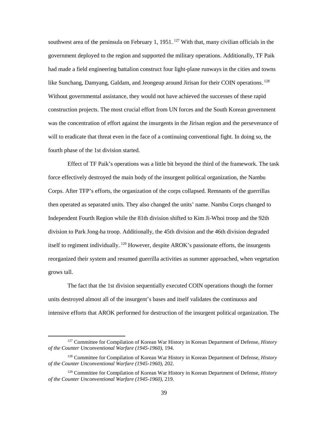southwest area of the peninsula on February 1,  $1951$ <sup>127</sup> With that, many civilian officials in the government deployed to the region and supported the military operations. Additionally, TF Paik had made a field engineering battalion construct four light-plane runways in the cities and towns like Sunchang, Damyang, Galdam, and Jeongeup around Jirisan for their COIN operations.<sup>128</sup> Without governmental assistance, they would not have achieved the successes of these rapid construction projects. The most crucial effort from UN forces and the South Korean government was the concentration of effort against the insurgents in the Jirisan region and the perseverance of will to eradicate that threat even in the face of a continuing conventional fight. In doing so, the fourth phase of the 1st division started.

Effect of TF Paik's operations was a little bit beyond the third of the framework. The task force effectively destroyed the main body of the insurgent political organization, the Nambu Corps. After TFP's efforts, the organization of the corps collapsed. Remnants of the guerrillas then operated as separated units. They also changed the units' name. Nambu Corps changed to Independent Fourth Region while the 81th division shifted to Kim Ji-Whoi troop and the 92th division to Park Jong-ha troop. Additionally, the 45th division and the 46th division degraded itself to regiment individually. <sup>129</sup> However, despite AROK's passionate efforts, the insurgents reorganized their system and resumed guerrilla activities as summer approached, when vegetation grows tall.

The fact that the 1st division sequentially executed COIN operations though the former units destroyed almost all of the insurgent's bases and itself validates the continuous and intensive efforts that AROK performed for destruction of the insurgent political organization. The

 <sup>127</sup> Committee for Compilation of Korean War History in Korean Department of Defense, *History of the Counter Unconventional Warfare (1945-1960)*, 194.

<sup>128</sup> Committee for Compilation of Korean War History in Korean Department of Defense, *History of the Counter Unconventional Warfare (1945-1960)*, 202.

<sup>129</sup> Committee for Compilation of Korean War History in Korean Department of Defense, *History of the Counter Unconventional Warfare (1945-1960)*, 219.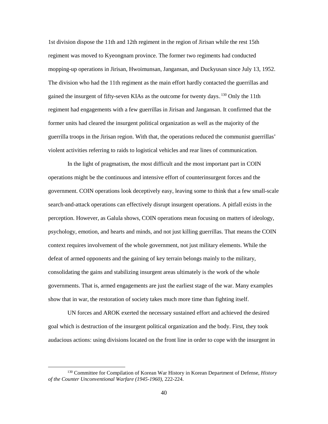1st division dispose the 11th and 12th regiment in the region of Jirisan while the rest 15th regiment was moved to Kyeongnam province. The former two regiments had conducted mopping-up operations in Jirisan, Hwoimunsan, Jangansan, and Duckyusan since July 13, 1952. The division who had the 11th regiment as the main effort hardly contacted the guerrillas and gained the insurgent of fifty-seven KIAs as the outcome for twenty days.<sup>130</sup> Only the 11th regiment had engagements with a few guerrillas in Jirisan and Jangansan. It confirmed that the former units had cleared the insurgent political organization as well as the majority of the guerrilla troops in the Jirisan region. With that, the operations reduced the communist guerrillas' violent activities referring to raids to logistical vehicles and rear lines of communication.

In the light of pragmatism, the most difficult and the most important part in COIN operations might be the continuous and intensive effort of counterinsurgent forces and the government. COIN operations look deceptively easy, leaving some to think that a few small-scale search-and-attack operations can effectively disrupt insurgent operations. A pitfall exists in the perception. However, as Galula shows, COIN operations mean focusing on matters of ideology, psychology, emotion, and hearts and minds, and not just killing guerrillas. That means the COIN context requires involvement of the whole government, not just military elements. While the defeat of armed opponents and the gaining of key terrain belongs mainly to the military, consolidating the gains and stabilizing insurgent areas ultimately is the work of the whole governments. That is, armed engagements are just the earliest stage of the war. Many examples show that in war, the restoration of society takes much more time than fighting itself.

UN forces and AROK exerted the necessary sustained effort and achieved the desired goal which is destruction of the insurgent political organization and the body. First, they took audacious actions: using divisions located on the front line in order to cope with the insurgent in

 <sup>130</sup> Committee for Compilation of Korean War History in Korean Department of Defense, *History of the Counter Unconventional Warfare (1945-1960)*, 222-224.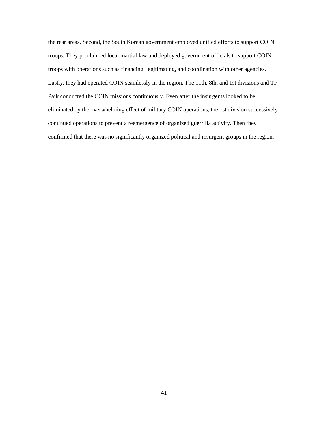the rear areas. Second, the South Korean government employed unified efforts to support COIN troops. They proclaimed local martial law and deployed government officials to support COIN troops with operations such as financing, legitimating, and coordination with other agencies. Lastly, they had operated COIN seamlessly in the region. The 11th, 8th, and 1st divisions and TF Paik conducted the COIN missions continuously. Even after the insurgents looked to be eliminated by the overwhelming effect of military COIN operations, the 1st division successively continued operations to prevent a reemergence of organized guerrilla activity. Then they confirmed that there was no significantly organized political and insurgent groups in the region.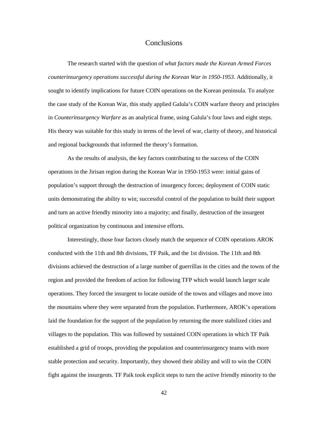#### Conclusions

<span id="page-49-0"></span>The research started with the question of *what factors made the Korean Armed Forces counterinsurgency operations successful during the Korean War in 1950-1953*. Additionally, it sought to identify implications for future COIN operations on the Korean peninsula. To analyze the case study of the Korean War, this study applied Galula's COIN warfare theory and principles in *Counterinsurgency Warfare* as an analytical frame, using Galula's four laws and eight steps. His theory was suitable for this study in terms of the level of war, clarity of theory, and historical and regional backgrounds that informed the theory's formation.

As the results of analysis, the key factors contributing to the success of the COIN operations in the Jirisan region during the Korean War in 1950-1953 were: initial gains of population's support through the destruction of insurgency forces; deployment of COIN static units demonstrating the ability to win; successful control of the population to build their support and turn an active friendly minority into a majority; and finally, destruction of the insurgent political organization by continuous and intensive efforts.

Interestingly, those four factors closely match the sequence of COIN operations AROK conducted with the 11th and 8th divisions, TF Paik, and the 1st division. The 11th and 8th divisions achieved the destruction of a large number of guerrillas in the cities and the towns of the region and provided the freedom of action for following TFP which would launch larger scale operations. They forced the insurgent to locate outside of the towns and villages and move into the mountains where they were separated from the population. Furthermore, AROK's operations laid the foundation for the support of the population by returning the more stabilized cities and villages to the population. This was followed by sustained COIN operations in which TF Paik established a grid of troops, providing the population and counterinsurgency teams with more stable protection and security. Importantly, they showed their ability and will to win the COIN fight against the insurgents. TF Paik took explicit steps to turn the active friendly minority to the

42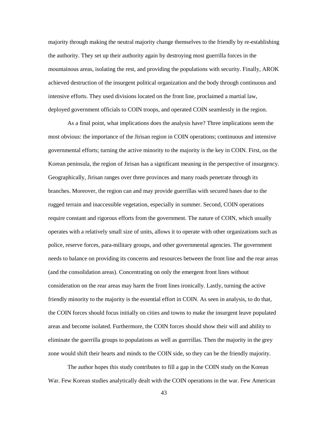majority through making the neutral majority change themselves to the friendly by re-establishing the authority. They set up their authority again by destroying most guerrilla forces in the mountainous areas, isolating the rest, and providing the populations with security. Finally, AROK achieved destruction of the insurgent political organization and the body through continuous and intensive efforts. They used divisions located on the front line, proclaimed a martial law, deployed government officials to COIN troops, and operated COIN seamlessly in the region.

As a final point, what implications does the analysis have? Three implications seem the most obvious: the importance of the Jirisan region in COIN operations; continuous and intensive governmental efforts; turning the active minority to the majority is the key in COIN. First, on the Korean peninsula, the region of Jirisan has a significant meaning in the perspective of insurgency. Geographically, Jirisan ranges over three provinces and many roads penetrate through its branches. Moreover, the region can and may provide guerrillas with secured bases due to the rugged terrain and inaccessible vegetation, especially in summer. Second, COIN operations require constant and rigorous efforts from the government. The nature of COIN, which usually operates with a relatively small size of units, allows it to operate with other organizations such as police, reserve forces, para-military groups, and other governmental agencies. The government needs to balance on providing its concerns and resources between the front line and the rear areas (and the consolidation areas). Concentrating on only the emergent front lines without consideration on the rear areas may harm the front lines ironically. Lastly, turning the active friendly minority to the majority is the essential effort in COIN. As seen in analysis, to do that, the COIN forces should focus initially on cities and towns to make the insurgent leave populated areas and become isolated. Furthermore, the COIN forces should show their will and ability to eliminate the guerrilla groups to populations as well as guerrillas. Then the majority in the grey zone would shift their hearts and minds to the COIN side, so they can be the friendly majority.

The author hopes this study contributes to fill a gap in the COIN study on the Korean War. Few Korean studies analytically dealt with the COIN operations in the war. Few American

43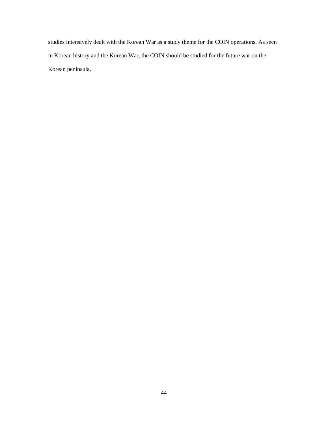studies intensively dealt with the Korean War as a study theme for the COIN operations. As seen in Korean history and the Korean War, the COIN should be studied for the future war on the Korean peninsula.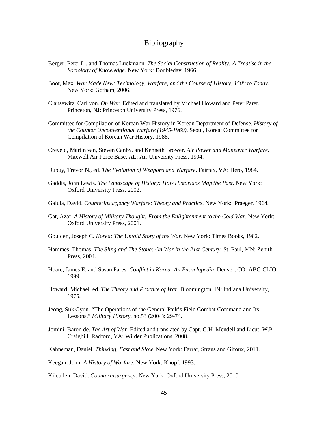#### Bibliography

- <span id="page-52-0"></span>Berger, Peter L., and Thomas Luckmann. *The Social Construction of Reality: A Treatise in the Sociology of Knowledge*. New York: Doubleday, 1966.
- Boot, Max. *War Made New: Technology, Warfare, and the Course of History, 1500 to Today*. New York: Gotham, 2006.
- Clausewitz, Carl von. *On War*. Edited and translated by Michael Howard and Peter Paret. Princeton, NJ: Princeton University Press, 1976.
- Committee for Compilation of Korean War History in Korean Department of Defense. *History of the Counter Unconventional Warfare (1945-1960)*. Seoul, Korea: Committee for Compilation of Korean War History, 1988.
- Creveld, Martin van, Steven Canby, and Kenneth Brower. *Air Power and Maneuver Warfare*. Maxwell Air Force Base, AL: Air University Press, 1994.
- Dupuy, Trevor N., ed. *The Evolution of Weapons and Warfare*. Fairfax, VA: Hero, 1984.
- Gaddis, John Lewis. *The Landscape of History: How Historians Map the Past*. New York: Oxford University Press, 2002.
- Galula, David. *Counterinsurgency Warfare: Theory and Practice*. New York: Praeger, 1964.
- Gat, Azar. *A History of Military Thought: From the Enlightenment to the Cold War*. New York: Oxford University Press, 2001.
- Goulden, Joseph C. *Korea: The Untold Story of the War*. New York: Times Books, 1982.
- Hammes, Thomas. *The Sling and The Stone: On War in the 21st Century.* St. Paul, MN: Zenith Press, 2004.
- Hoare, James E. and Susan Pares. *Conflict in Korea: An Encyclopedia*. Denver, CO: ABC-CLIO, 1999.
- Howard, Michael, ed. *The Theory and Practice of War*. Bloomington, IN: Indiana University, 1975.
- Jeong, Suk Gyun. "The Operations of the General Paik's Field Combat Command and Its Lessons." *Military History*, no.53 (2004): 29-74.
- Jomini, Baron de. *The Art of War*. Edited and translated by Capt. G.H. Mendell and Lieut. W.P. Craighill. Radford, VA: Wilder Publications, 2008.
- Kahneman, Daniel. *Thinking, Fast and Slow*. New York: Farrar, Straus and Giroux, 2011.

Keegan, John. *A History of Warfare*. New York: Knopf, 1993.

Kilcullen, David. *Counterinsurgency.* New York: Oxford University Press, 2010.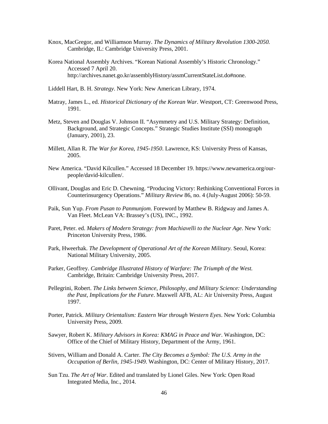- Knox, MacGregor, and Williamson Murray. *The Dynamics of Military Revolution 1300-2050.* Cambridge, IL: Cambridge University Press, 2001.
- Korea National Assembly Archives. "Korean National Assembly's Historic Chronology." Accessed 7 April 20. http://archives.nanet.go.kr/assemblyHistory/assmCurrentStateList.do#none.
- Liddell Hart, B. H. *Strategy*. New York: New American Library, 1974.
- Matray, James L., ed. *Historical Dictionary of the Korean War*. Westport, CT: Greenwood Press, 1991.
- Metz, Steven and Douglas V. Johnson II. "Asymmetry and U.S. Military Strategy: Definition, Background, and Strategic Concepts." Strategic Studies Institute (SSI) monograph (January, 2001), 23.
- Millett, Allan R. *The War for Korea, 1945-1950*. Lawrence, KS: University Press of Kansas, 2005.
- New America. "David Kilcullen." Accessed 18 December 19. https://www.newamerica.org/ourpeople/david-kilcullen/.
- Ollivant, Douglas and Eric D. Chewning. "Producing Victory: Rethinking Conventional Forces in Counterinsurgency Operations." *Military Review* 86, no. 4 (July-August 2006): 50-59.
- Paik, Sun Yup. *From Pusan to Panmunjom*. Foreword by Matthew B. Ridgway and James A. Van Fleet. McLean VA: Brassey's (US), INC., 1992.
- Paret, Peter. ed. *Makers of Modern Strategy: from Machiavelli to the Nuclear Age*. New York: Princeton University Press, 1986.
- Park, Hweerhak. *The Development of Operational Art of the Korean Military.* Seoul, Korea: National Military University, 2005.
- Parker, Geoffrey. *Cambridge Illustrated History of Warfare: The Triumph of the West.* Cambridge, Britain: Cambridge University Press, 2017.
- Pellegrini, Robert. *The Links between Science, Philosophy, and Military Science: Understanding the Past, Implications for the Future*. Maxwell AFB, AL: Air University Press, August 1997.
- Porter, Patrick. *Military Orientalism: Eastern War through Western Eyes*. New York: Columbia University Press, 2009.
- Sawyer, Robert K. *Military Advisors in Korea: KMAG in Peace and War*. Washington, DC: Office of the Chief of Military History, Department of the Army, 1961.
- Stivers, William and Donald A. Carter. *The City Becomes a Symbol: The U.S. Army in the Occupation of Berlin, 1945-1949*. Washington, DC: Center of Military History, 2017.
- Sun Tzu. *The Art of War*. Edited and translated by Lionel Giles. New York: Open Road Integrated Media, Inc., 2014.